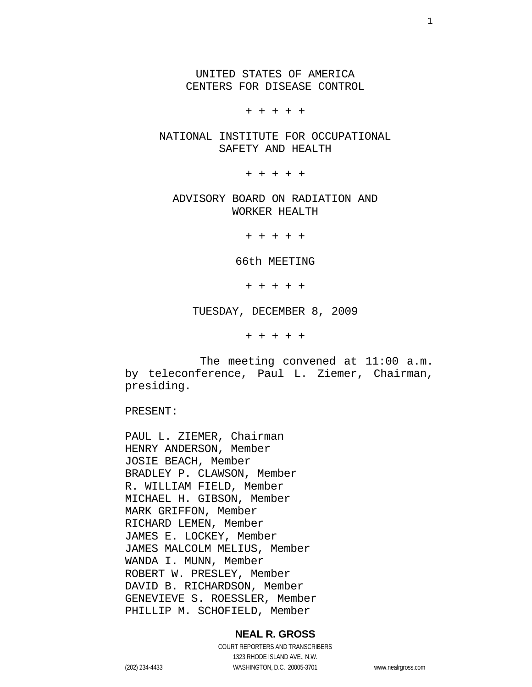UNITED STATES OF AMERICA CENTERS FOR DISEASE CONTROL

+ + + + +

 NATIONAL INSTITUTE FOR OCCUPATIONAL SAFETY AND HEALTH

+ + + + +

 ADVISORY BOARD ON RADIATION AND WORKER HEALTH

+ + + + +

66th MEETING

+ + + + +

TUESDAY, DECEMBER 8, 2009

+ + + + +

 The meeting convened at 11:00 a.m. by teleconference, Paul L. Ziemer, Chairman, presiding.

PRESENT:

PAUL L. ZIEMER, Chairman HENRY ANDERSON, Member JOSIE BEACH, Member BRADLEY P. CLAWSON, Member R. WILLIAM FIELD, Member MICHAEL H. GIBSON, Member MARK GRIFFON, Member RICHARD LEMEN, Member JAMES E. LOCKEY, Member JAMES MALCOLM MELIUS, Member WANDA I. MUNN, Member ROBERT W. PRESLEY, Member DAVID B. RICHARDSON, Member GENEVIEVE S. ROESSLER, Member PHILLIP M. SCHOFIELD, Member

#### **NEAL R. GROSS**

COURT REPORTERS AND TRANSCRIBERS 1323 RHODE ISLAND AVE., N.W. (202) 234-4433 WASHINGTON, D.C. 20005-3701 www.nealrgross.com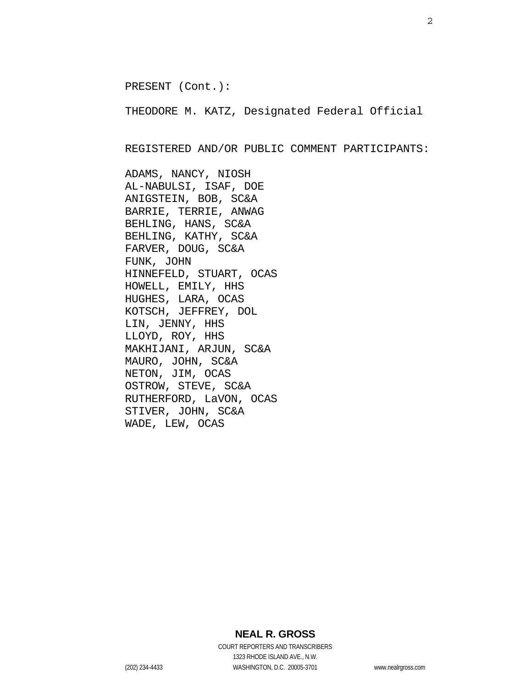PRESENT (Cont.):

THEODORE M. KATZ, Designated Federal Official

REGISTERED AND/OR PUBLIC COMMENT PARTICIPANTS:

ADAMS, NANCY, NIOSH AL-NABULSI, ISAF, DOE ANIGSTEIN, BOB, SC&A BARRIE, TERRIE, ANWAG BEHLING, HANS, SC&A BEHLING, KATHY, SC&A FARVER, DOUG, SC&A FUNK, JOHN HINNEFELD, STUART, OCAS HOWELL, EMILY, HHS HUGHES, LARA, OCAS KOTSCH, JEFFREY, DOL LIN, JENNY, HHS LLOYD, ROY, HHS MAKHIJANI, ARJUN, SC&A MAURO, JOHN, SC&A NETON, JIM, OCAS OSTROW, STEVE, SC&A RUTHERFORD, LaVON, OCAS STIVER, JOHN, SC&A WADE, LEW, OCAS

### **NEAL R. GROSS**

COURT REPORTERS AND TRANSCRIBERS 1323 RHODE ISLAND AVE., N.W. (202) 234-4433 WASHINGTON, D.C. 20005-3701 www.nealrgross.com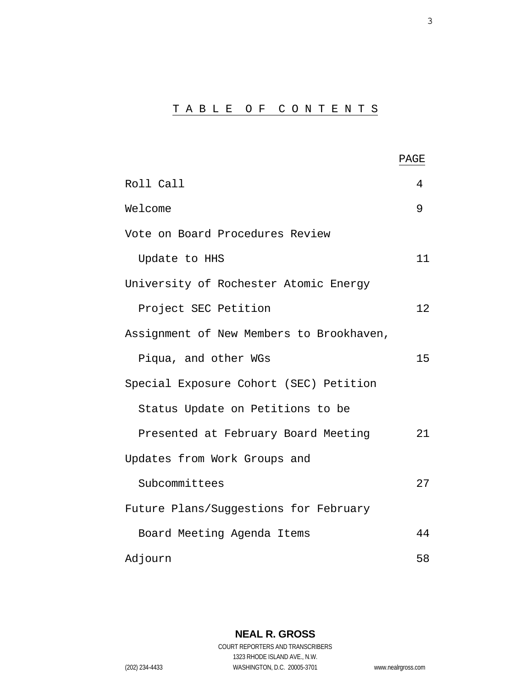# T A B L E O F C O N T E N T S

|                                          | PAGE |
|------------------------------------------|------|
| Roll Call                                | 4    |
| Welcome                                  | 9    |
| Vote on Board Procedures Review          |      |
| Update to HHS                            | 11   |
| University of Rochester Atomic Energy    |      |
| Project SEC Petition                     | 12   |
| Assignment of New Members to Brookhaven, |      |
| Piqua, and other WGs                     | 15   |
| Special Exposure Cohort (SEC) Petition   |      |
| Status Update on Petitions to be         |      |
| Presented at February Board Meeting      | 21   |
| Updates from Work Groups and             |      |
| Subcommittees                            | 27   |
| Future Plans/Suggestions for February    |      |
| Board Meeting Agenda Items               | 44   |
| Adjourn                                  | 58   |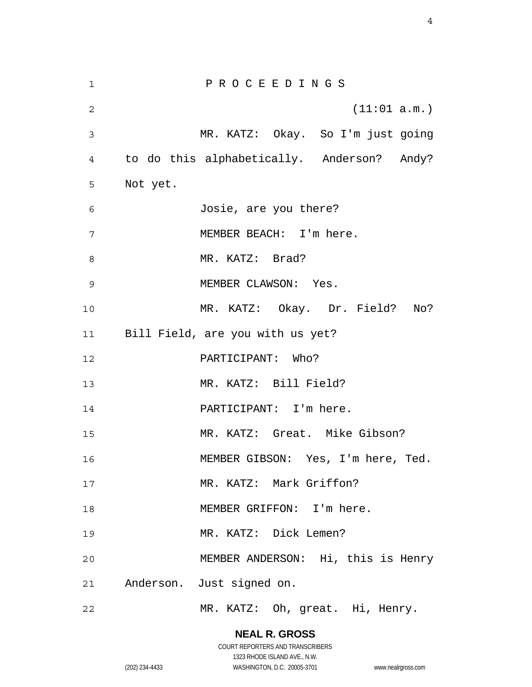1 2 3 4 5 6 7 8 9 10 11 12 13 14 15 16 17 18 19 20 21 22 P R O C E E D I N G S (11:01 a.m.) MR. KATZ: Okay. So I'm just going to do this alphabetically. Anderson? Andy? Not yet. Josie, are you there? MEMBER BEACH: I'm here. MR. KATZ: Brad? MEMBER CLAWSON: Yes. MR. KATZ: Okay. Dr. Field? No? Bill Field, are you with us yet? PARTICIPANT: Who? MR. KATZ: Bill Field? PARTICIPANT: I'm here. MR. KATZ: Great. Mike Gibson? MEMBER GIBSON: Yes, I'm here, Ted. MR. KATZ: Mark Griffon? MEMBER GRIFFON: I'm here. MR. KATZ: Dick Lemen? MEMBER ANDERSON: Hi, this is Henry Anderson. Just signed on. MR. KATZ: Oh, great. Hi, Henry.

### **NEAL R. GROSS**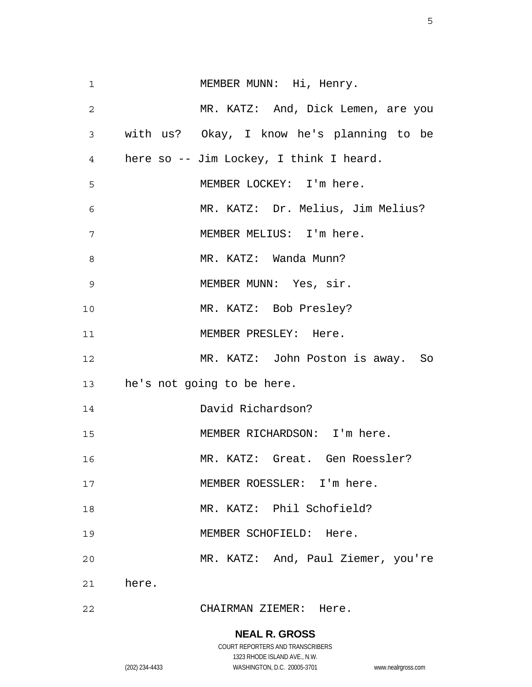| $\mathbf{1}$   | MEMBER MUNN: Hi, Henry.                   |
|----------------|-------------------------------------------|
| $\overline{2}$ | MR. KATZ: And, Dick Lemen, are you        |
| $\mathbf{3}$   | with us? Okay, I know he's planning to be |
| $\overline{4}$ | here so -- Jim Lockey, I think I heard.   |
| 5              | MEMBER LOCKEY: I'm here.                  |
| 6              | MR. KATZ: Dr. Melius, Jim Melius?         |
| 7              | MEMBER MELIUS: I'm here.                  |
| 8              | MR. KATZ: Wanda Munn?                     |
| $\mathsf 9$    | MEMBER MUNN: Yes, sir.                    |
| 10             | MR. KATZ: Bob Presley?                    |
| 11             | MEMBER PRESLEY: Here.                     |
| 12             | MR. KATZ: John Poston is away. So         |
|                | 13 he's not going to be here.             |
| 14             | David Richardson?                         |
| 15             | MEMBER RICHARDSON: I'm here.              |
| 16             | MR. KATZ: Great. Gen Roessler?            |
| 17             | MEMBER ROESSLER: I'm here.                |
| 18             | MR. KATZ: Phil Schofield?                 |
| 19             | MEMBER SCHOFIELD: Here.                   |
| 20             | MR. KATZ: And, Paul Ziemer, you're        |
|                | 21 here.                                  |
| 22             | CHAIRMAN ZIEMER: Here.                    |

### **NEAL R. GROSS**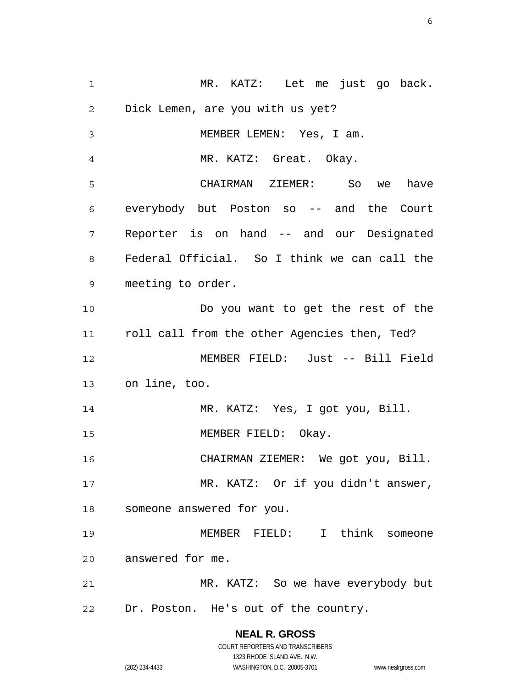1 2 3 4 5 6 7 8 9 10 11 12 13 14 15 16 17 18 19 20 21 22 MR. KATZ: Let me just go back. Dick Lemen, are you with us yet? MEMBER LEMEN: Yes, I am. MR. KATZ: Great. Okay. CHAIRMAN ZIEMER: So we have everybody but Poston so -- and the Court Reporter is on hand -- and our Designated Federal Official. So I think we can call the meeting to order. Do you want to get the rest of the roll call from the other Agencies then, Ted? MEMBER FIELD: Just -- Bill Field on line, too. MR. KATZ: Yes, I got you, Bill. MEMBER FIELD: Okay. CHAIRMAN ZIEMER: We got you, Bill. MR. KATZ: Or if you didn't answer, someone answered for you. MEMBER FIELD: I think someone answered for me. MR. KATZ: So we have everybody but Dr. Poston. He's out of the country.

> **NEAL R. GROSS** COURT REPORTERS AND TRANSCRIBERS 1323 RHODE ISLAND AVE., N.W. (202) 234-4433 WASHINGTON, D.C. 20005-3701 www.nealrgross.com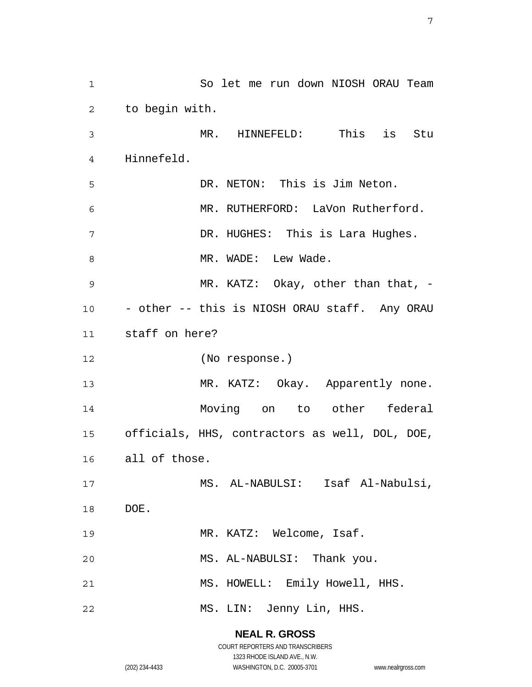1 2 3 4 5 6 7 8 9 10 11 12 13 14 15 16 17 18 19 20 21 22 So let me run down NIOSH ORAU Team to begin with. MR. HINNEFELD: This is Stu Hinnefeld. DR. NETON: This is Jim Neton. MR. RUTHERFORD: LaVon Rutherford. DR. HUGHES: This is Lara Hughes. MR. WADE: Lew Wade. MR. KATZ: Okay, other than that, -- other -- this is NIOSH ORAU staff. Any ORAU staff on here? (No response.) MR. KATZ: Okay. Apparently none. Moving on to other federal officials, HHS, contractors as well, DOL, DOE, all of those. MS. AL-NABULSI: Isaf Al-Nabulsi, DOE. MR. KATZ: Welcome, Isaf. MS. AL-NABULSI: Thank you. MS. HOWELL: Emily Howell, HHS. MS. LIN: Jenny Lin, HHS.

> **NEAL R. GROSS** COURT REPORTERS AND TRANSCRIBERS

> > 1323 RHODE ISLAND AVE., N.W.

(202) 234-4433 WASHINGTON, D.C. 20005-3701 www.nealrgross.com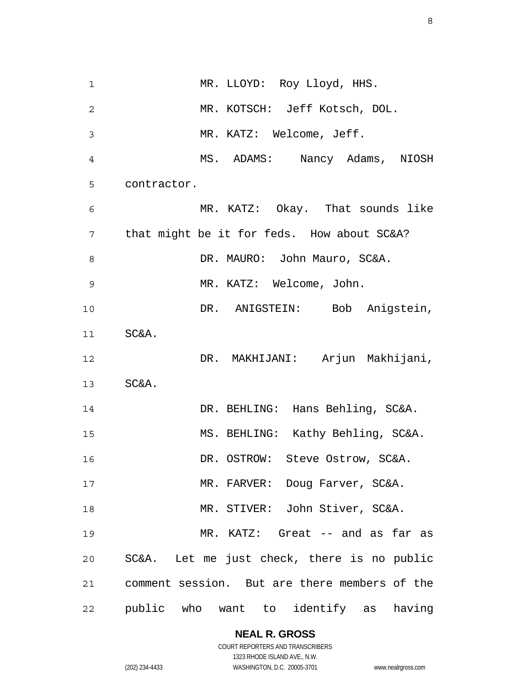1 2 3 4 5 6 7 8 9 10 11 12 13 14 15 16 17 18 19 20 21 22 MR. LLOYD: Roy Lloyd, HHS. MR. KOTSCH: Jeff Kotsch, DOL. MR. KATZ: Welcome, Jeff. MS. ADAMS: Nancy Adams, NIOSH contractor. MR. KATZ: Okay. That sounds like that might be it for feds. How about SC&A? DR. MAURO: John Mauro, SC&A. MR. KATZ: Welcome, John. DR. ANIGSTEIN: Bob Anigstein, SC&A. DR. MAKHIJANI: Arjun Makhijani, SC&A. DR. BEHLING: Hans Behling, SC&A. MS. BEHLING: Kathy Behling, SC&A. DR. OSTROW: Steve Ostrow, SC&A. MR. FARVER: Doug Farver, SC&A. MR. STIVER: John Stiver, SC&A. MR. KATZ: Great -- and as far as SC&A. Let me just check, there is no public comment session. But are there members of the public who want to identify as having

**NEAL R. GROSS**

COURT REPORTERS AND TRANSCRIBERS 1323 RHODE ISLAND AVE., N.W. (202) 234-4433 WASHINGTON, D.C. 20005-3701 www.nealrgross.com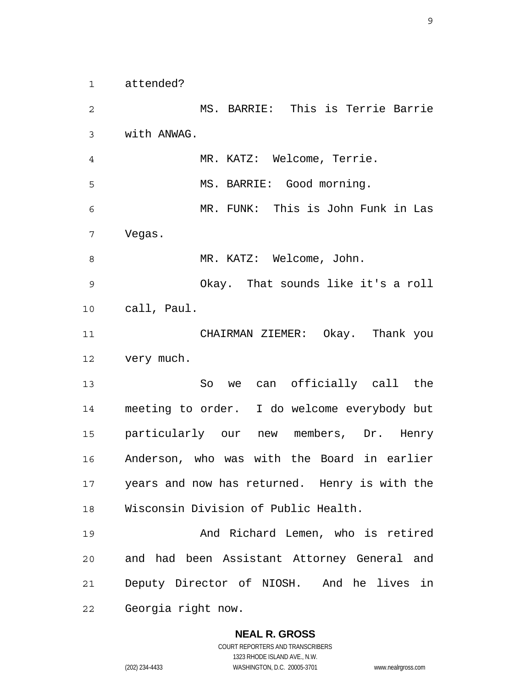1 attended?

2 3 4 5 6 7 8 9 10 11 12 13 14 15 16 17 18 19 20 21 22 MS. BARRIE: This is Terrie Barrie with ANWAG. MR. KATZ: Welcome, Terrie. MS. BARRIE: Good morning. MR. FUNK: This is John Funk in Las Vegas. MR. KATZ: Welcome, John. Okay. That sounds like it's a roll call, Paul. CHAIRMAN ZIEMER: Okay. Thank you very much. So we can officially call the meeting to order. I do welcome everybody but particularly our new members, Dr. Henry Anderson, who was with the Board in earlier years and now has returned. Henry is with the Wisconsin Division of Public Health. And Richard Lemen, who is retired and had been Assistant Attorney General and Deputy Director of NIOSH. And he lives in Georgia right now.

# **NEAL R. GROSS**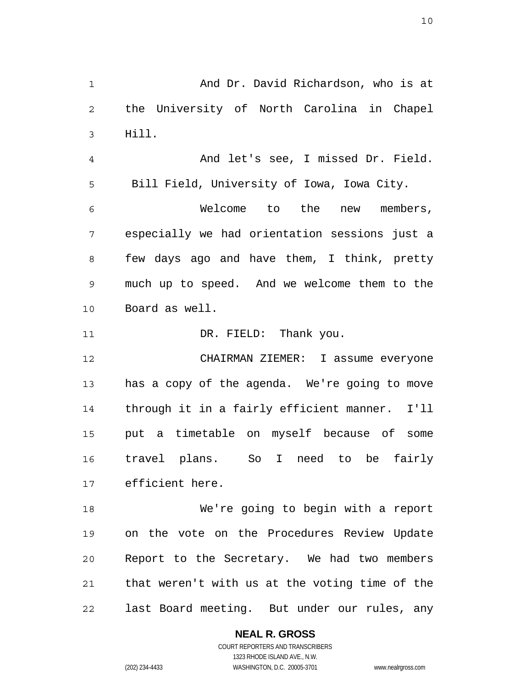1 2 3 4 5 6 7 8 9 10 11 12 13 14 15 16 17 18 19 20 21 22 And Dr. David Richardson, who is at the University of North Carolina in Chapel Hill. And let's see, I missed Dr. Field. Bill Field, University of Iowa, Iowa City. Welcome to the new members, especially we had orientation sessions just a few days ago and have them, I think, pretty much up to speed. And we welcome them to the Board as well. DR. FIELD: Thank you. CHAIRMAN ZIEMER: I assume everyone has a copy of the agenda. We're going to move through it in a fairly efficient manner. I'll put a timetable on myself because of some travel plans. So I need to be fairly efficient here. We're going to begin with a report on the vote on the Procedures Review Update Report to the Secretary. We had two members that weren't with us at the voting time of the last Board meeting. But under our rules, any

**NEAL R. GROSS**

COURT REPORTERS AND TRANSCRIBERS 1323 RHODE ISLAND AVE., N.W. (202) 234-4433 WASHINGTON, D.C. 20005-3701 www.nealrgross.com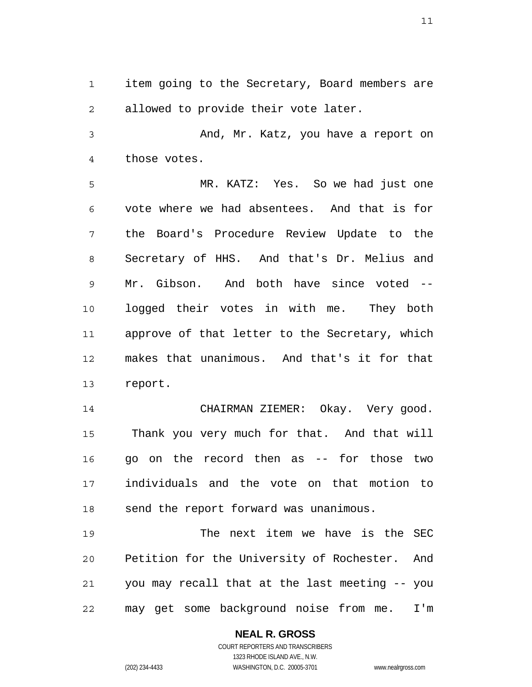1 2 item going to the Secretary, Board members are allowed to provide their vote later.

3 4 And, Mr. Katz, you have a report on those votes.

5 6 7 8 9 10 11 12 13 MR. KATZ: Yes. So we had just one vote where we had absentees. And that is for the Board's Procedure Review Update to the Secretary of HHS. And that's Dr. Melius and Mr. Gibson. And both have since voted - logged their votes in with me. They both approve of that letter to the Secretary, which makes that unanimous. And that's it for that report.

14 15 16 17 18 CHAIRMAN ZIEMER: Okay. Very good. Thank you very much for that. And that will go on the record then as -- for those two individuals and the vote on that motion to send the report forward was unanimous.

19 20 21 22 The next item we have is the SEC Petition for the University of Rochester. And you may recall that at the last meeting -- you may get some background noise from me. I'm

> **NEAL R. GROSS** COURT REPORTERS AND TRANSCRIBERS

> > 1323 RHODE ISLAND AVE., N.W.

(202) 234-4433 WASHINGTON, D.C. 20005-3701 www.nealrgross.com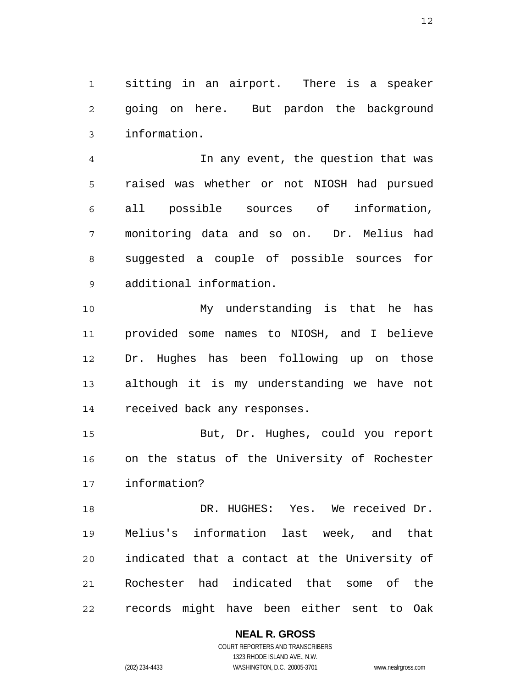1 2 3 sitting in an airport. There is a speaker going on here. But pardon the background information.

4 5 6 7 8 9 In any event, the question that was raised was whether or not NIOSH had pursued all possible sources of information, monitoring data and so on. Dr. Melius had suggested a couple of possible sources for additional information.

10 11 12 13 14 My understanding is that he has provided some names to NIOSH, and I believe Dr. Hughes has been following up on those although it is my understanding we have not received back any responses.

15 16 17 But, Dr. Hughes, could you report on the status of the University of Rochester information?

18 19 20 21 22 DR. HUGHES: Yes. We received Dr. Melius's information last week, and that indicated that a contact at the University of Rochester had indicated that some of the records might have been either sent to Oak

# **NEAL R. GROSS**

COURT REPORTERS AND TRANSCRIBERS 1323 RHODE ISLAND AVE., N.W. (202) 234-4433 WASHINGTON, D.C. 20005-3701 www.nealrgross.com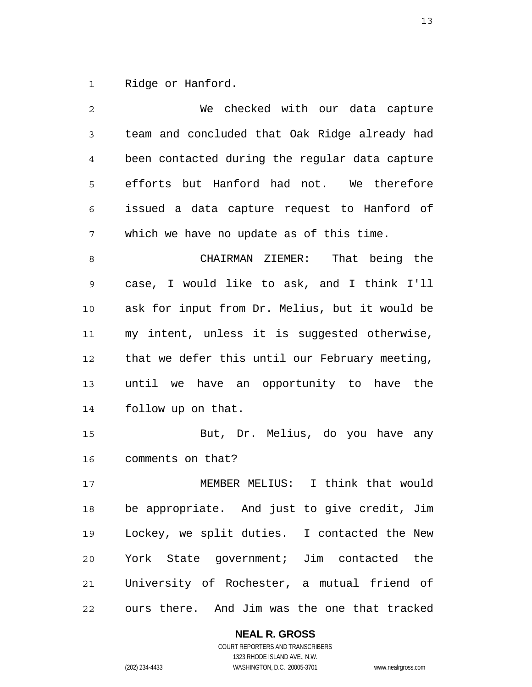1 Ridge or Hanford.

| $\overline{c}$ | We checked with our data capture               |
|----------------|------------------------------------------------|
| 3              | team and concluded that Oak Ridge already had  |
| 4              | been contacted during the regular data capture |
| 5              | efforts but Hanford had not. We therefore      |
| 6              | issued a data capture request to Hanford of    |
| 7              | which we have no update as of this time.       |
| 8              | CHAIRMAN ZIEMER: That being the                |
| 9              | case, I would like to ask, and I think I'll    |
| $10$           | ask for input from Dr. Melius, but it would be |
| 11             | my intent, unless it is suggested otherwise,   |
| 12             | that we defer this until our February meeting, |
| 13             | until we have an opportunity to have the       |
| 14             | follow up on that.                             |
| 15             | But, Dr. Melius, do you have any               |
| 16             | comments on that?                              |
| 17             | MEMBER MELIUS: I think that would              |
| 18             | be appropriate. And just to give credit, Jim   |
| 19             | Lockey, we split duties. I contacted the New   |
| 20             | York State government; Jim contacted the       |
| 21             | University of Rochester, a mutual friend of    |
| 22             | ours there. And Jim was the one that tracked   |

**NEAL R. GROSS** COURT REPORTERS AND TRANSCRIBERS

1323 RHODE ISLAND AVE., N.W. (202) 234-4433 WASHINGTON, D.C. 20005-3701 www.nealrgross.com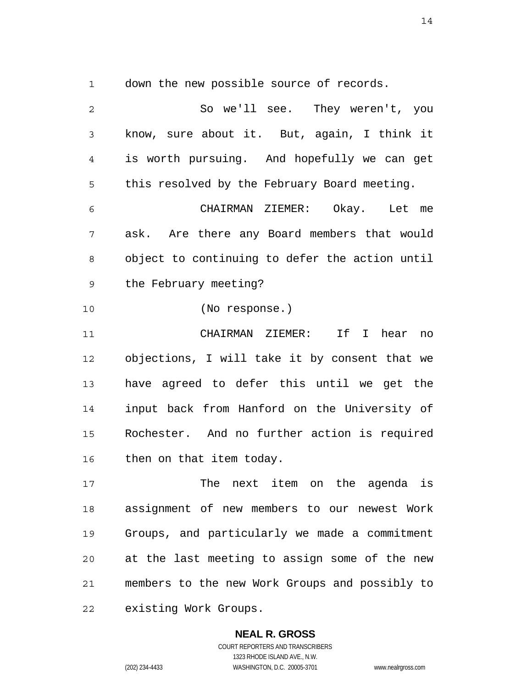1 down the new possible source of records.

2 3 4 5 6 7 8 9 10 11 12 13 14 15 16 17 18 19 20 21 22 So we'll see. They weren't, you know, sure about it. But, again, I think it is worth pursuing. And hopefully we can get this resolved by the February Board meeting. CHAIRMAN ZIEMER: Okay. Let me ask. Are there any Board members that would object to continuing to defer the action until the February meeting? (No response.) CHAIRMAN ZIEMER: If I hear no objections, I will take it by consent that we have agreed to defer this until we get the input back from Hanford on the University of Rochester. And no further action is required then on that item today. The next item on the agenda is assignment of new members to our newest Work Groups, and particularly we made a commitment at the last meeting to assign some of the new members to the new Work Groups and possibly to existing Work Groups.

> **NEAL R. GROSS** COURT REPORTERS AND TRANSCRIBERS 1323 RHODE ISLAND AVE., N.W. (202) 234-4433 WASHINGTON, D.C. 20005-3701 www.nealrgross.com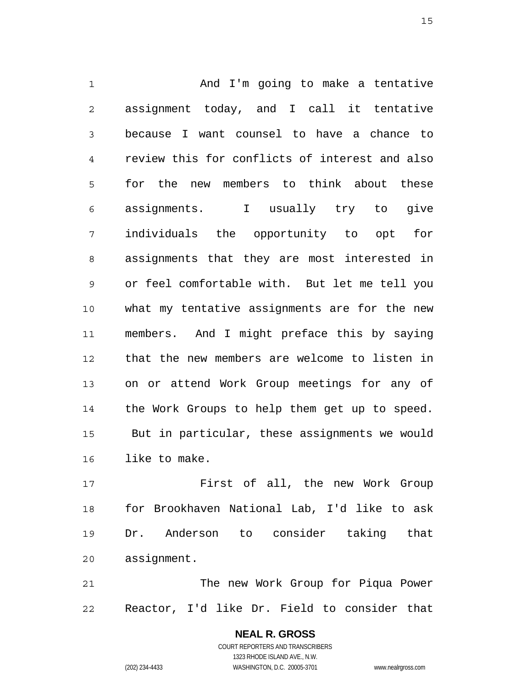1 2 3 4 5 6 7 8 9 10 11 12 13 14 15 16 And I'm going to make a tentative assignment today, and I call it tentative because I want counsel to have a chance to review this for conflicts of interest and also for the new members to think about these assignments. I usually try to give individuals the opportunity to opt for assignments that they are most interested in or feel comfortable with. But let me tell you what my tentative assignments are for the new members. And I might preface this by saying that the new members are welcome to listen in on or attend Work Group meetings for any of the Work Groups to help them get up to speed. But in particular, these assignments we would like to make.

17 18 19 20 First of all, the new Work Group for Brookhaven National Lab, I'd like to ask Dr. Anderson to consider taking that assignment.

21 22 The new Work Group for Piqua Power Reactor, I'd like Dr. Field to consider that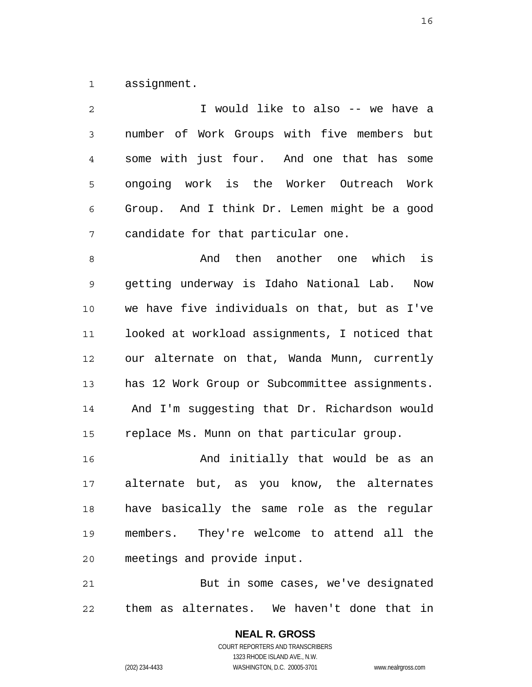1 assignment.

| $\overline{c}$ | I would like to also -- we have a              |
|----------------|------------------------------------------------|
| 3              | number of Work Groups with five members but    |
| $\overline{4}$ | some with just four. And one that has some     |
| 5              | ongoing work is the Worker Outreach Work       |
| 6              | Group. And I think Dr. Lemen might be a good   |
| 7              | candidate for that particular one.             |
| 8              | And then another one which is                  |
| 9              | getting underway is Idaho National Lab. Now    |
| 10             | we have five individuals on that, but as I've  |
| 11             | looked at workload assignments, I noticed that |
| 12             | our alternate on that, Wanda Munn, currently   |
| 13             | has 12 Work Group or Subcommittee assignments. |
| 14             | And I'm suggesting that Dr. Richardson would   |
| 15             | replace Ms. Munn on that particular group.     |
| 16             | And initially that would be as an              |
| 17             | alternate but, as you know, the alternates     |
| 18             | have basically the same role as the regular    |
| 19             | members. They're welcome to attend all the     |
| 20             | meetings and provide input.                    |

21 22 But in some cases, we've designated them as alternates. We haven't done that in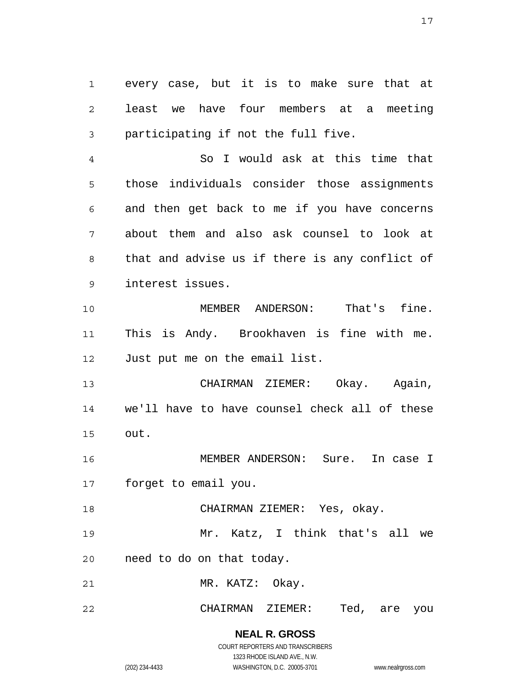1 2 3 every case, but it is to make sure that at least we have four members at a meeting participating if not the full five.

4 5 6 7 8 9 So I would ask at this time that those individuals consider those assignments and then get back to me if you have concerns about them and also ask counsel to look at that and advise us if there is any conflict of interest issues.

10 11 12 MEMBER ANDERSON: That's fine. This is Andy. Brookhaven is fine with me. Just put me on the email list.

13 14 15 CHAIRMAN ZIEMER: Okay. Again, we'll have to have counsel check all of these out.

16 17 MEMBER ANDERSON: Sure. In case I forget to email you.

18 CHAIRMAN ZIEMER: Yes, okay.

19 Mr. Katz, I think that's all we

20 need to do on that today.

21 MR. KATZ: Okay.

#### 22 CHAIRMAN ZIEMER: Ted, are you

**NEAL R. GROSS** COURT REPORTERS AND TRANSCRIBERS

1323 RHODE ISLAND AVE., N.W.

(202) 234-4433 WASHINGTON, D.C. 20005-3701 www.nealrgross.com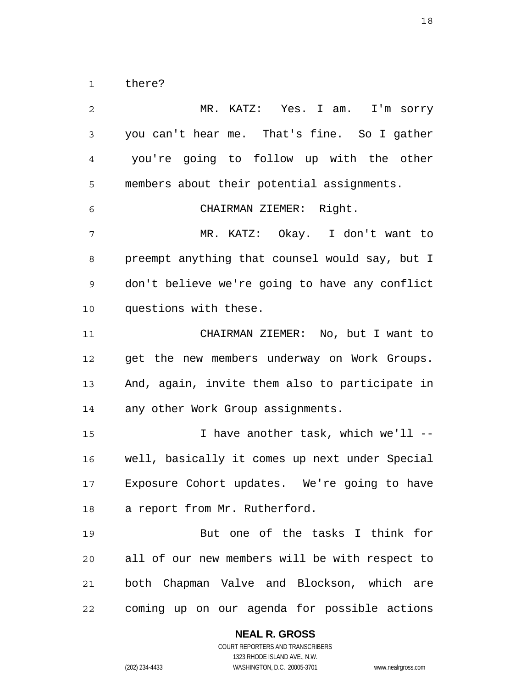1 there?

2 3 4 5 6 7 8 9 10 11 12 13 14 15 16 17 18 19 20 21 22 MR. KATZ: Yes. I am. I'm sorry you can't hear me. That's fine. So I gather you're going to follow up with the other members about their potential assignments. CHAIRMAN ZIEMER: Right. MR. KATZ: Okay. I don't want to preempt anything that counsel would say, but I don't believe we're going to have any conflict questions with these. CHAIRMAN ZIEMER: No, but I want to get the new members underway on Work Groups. And, again, invite them also to participate in any other Work Group assignments. I have another task, which we'll - well, basically it comes up next under Special Exposure Cohort updates. We're going to have a report from Mr. Rutherford. But one of the tasks I think for all of our new members will be with respect to both Chapman Valve and Blockson, which are coming up on our agenda for possible actions

**NEAL R. GROSS**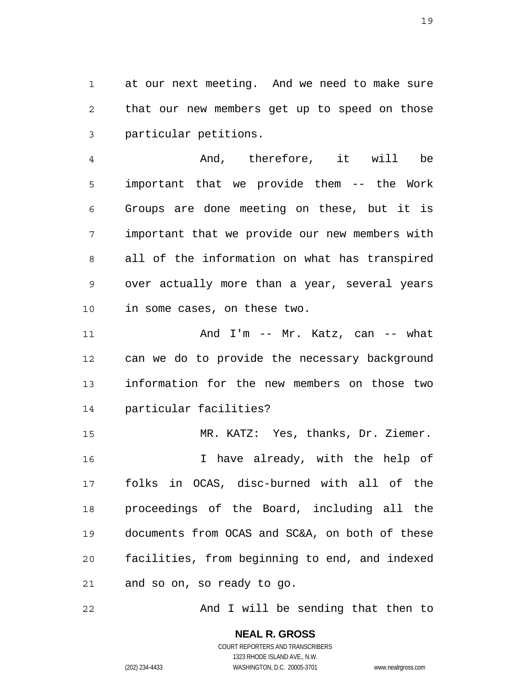1 2 3 at our next meeting. And we need to make sure that our new members get up to speed on those particular petitions.

4 5 6 7 8 9 10 And, therefore, it will be important that we provide them -- the Work Groups are done meeting on these, but it is important that we provide our new members with all of the information on what has transpired over actually more than a year, several years in some cases, on these two.

11 12 13 14 And I'm -- Mr. Katz, can -- what can we do to provide the necessary background information for the new members on those two particular facilities?

15 16 17 18 19 20 21 MR. KATZ: Yes, thanks, Dr. Ziemer. I have already, with the help of folks in OCAS, disc-burned with all of the proceedings of the Board, including all the documents from OCAS and SC&A, on both of these facilities, from beginning to end, and indexed and so on, so ready to go.

22 And I will be sending that then to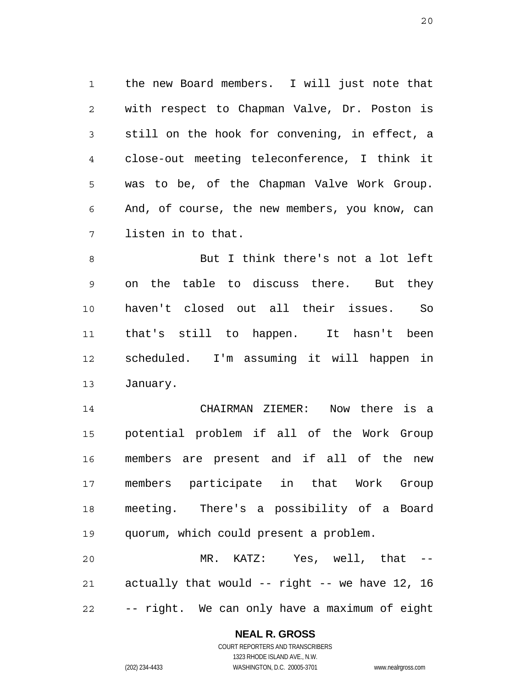1 2 3 4 5 6 7 the new Board members. I will just note that with respect to Chapman Valve, Dr. Poston is still on the hook for convening, in effect, a close-out meeting teleconference, I think it was to be, of the Chapman Valve Work Group. And, of course, the new members, you know, can listen in to that.

8 9 10 11 12 13 But I think there's not a lot left on the table to discuss there. But they haven't closed out all their issues. So that's still to happen. It hasn't been scheduled. I'm assuming it will happen in January.

14 15 16 17 18 19 CHAIRMAN ZIEMER: Now there is a potential problem if all of the Work Group members are present and if all of the new members participate in that Work Group meeting. There's a possibility of a Board quorum, which could present a problem.

20 21 22 MR. KATZ: Yes, well, that -actually that would -- right -- we have 12, 16 -- right. We can only have a maximum of eight

#### **NEAL R. GROSS**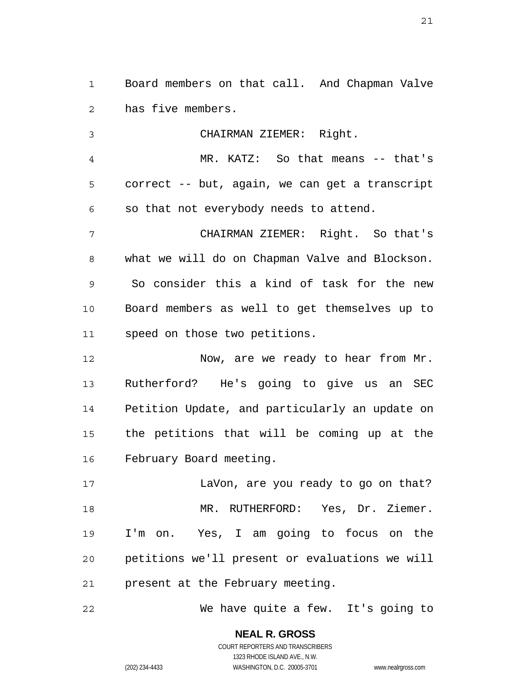1 2 Board members on that call. And Chapman Valve has five members.

3 4 5 6 7 8 9 10 11 12 CHAIRMAN ZIEMER: Right. MR. KATZ: So that means -- that's correct -- but, again, we can get a transcript so that not everybody needs to attend. CHAIRMAN ZIEMER: Right. So that's what we will do on Chapman Valve and Blockson. So consider this a kind of task for the new Board members as well to get themselves up to speed on those two petitions. Now, are we ready to hear from Mr.

13 14 15 16 Rutherford? He's going to give us an SEC Petition Update, and particularly an update on the petitions that will be coming up at the February Board meeting.

17 18 19 20 21 LaVon, are you ready to go on that? MR. RUTHERFORD: Yes, Dr. Ziemer. I'm on. Yes, I am going to focus on the petitions we'll present or evaluations we will present at the February meeting.

22 We have quite a few. It's going to

> **NEAL R. GROSS** COURT REPORTERS AND TRANSCRIBERS 1323 RHODE ISLAND AVE., N.W.

(202) 234-4433 WASHINGTON, D.C. 20005-3701 www.nealrgross.com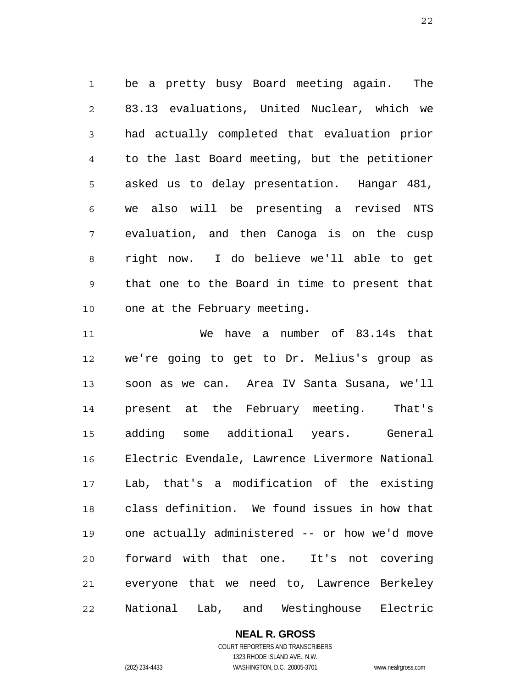1 2 3 4 5 6 7 8 9 10 be a pretty busy Board meeting again. The 83.13 evaluations, United Nuclear, which we had actually completed that evaluation prior to the last Board meeting, but the petitioner asked us to delay presentation. Hangar 481, we also will be presenting a revised NTS evaluation, and then Canoga is on the cusp right now. I do believe we'll able to get that one to the Board in time to present that one at the February meeting.

11 12 13 14 15 16 17 18 19 20 21 22 We have a number of 83.14s that we're going to get to Dr. Melius's group as soon as we can. Area IV Santa Susana, we'll present at the February meeting. That's adding some additional years. General Electric Evendale, Lawrence Livermore National Lab, that's a modification of the existing class definition. We found issues in how that one actually administered -- or how we'd move forward with that one. It's not covering everyone that we need to, Lawrence Berkeley National Lab, and Westinghouse Electric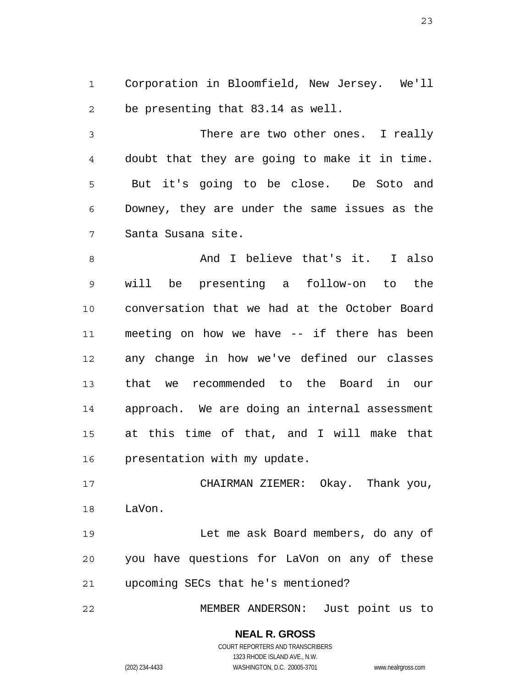1 2 Corporation in Bloomfield, New Jersey. We'll be presenting that 83.14 as well.

3 4 5 6 7 There are two other ones. I really doubt that they are going to make it in time. But it's going to be close. De Soto and Downey, they are under the same issues as the Santa Susana site.

8 9 10 11 12 13 14 15 16 And I believe that's it. I also will be presenting a follow-on to the conversation that we had at the October Board meeting on how we have -- if there has been any change in how we've defined our classes that we recommended to the Board in our approach. We are doing an internal assessment at this time of that, and I will make that presentation with my update.

17 18 CHAIRMAN ZIEMER: Okay. Thank you, LaVon.

19 20 21 Let me ask Board members, do any of you have questions for LaVon on any of these upcoming SECs that he's mentioned?

22 MEMBER ANDERSON: Just point us to

# **NEAL R. GROSS**

COURT REPORTERS AND TRANSCRIBERS 1323 RHODE ISLAND AVE., N.W. (202) 234-4433 WASHINGTON, D.C. 20005-3701 www.nealrgross.com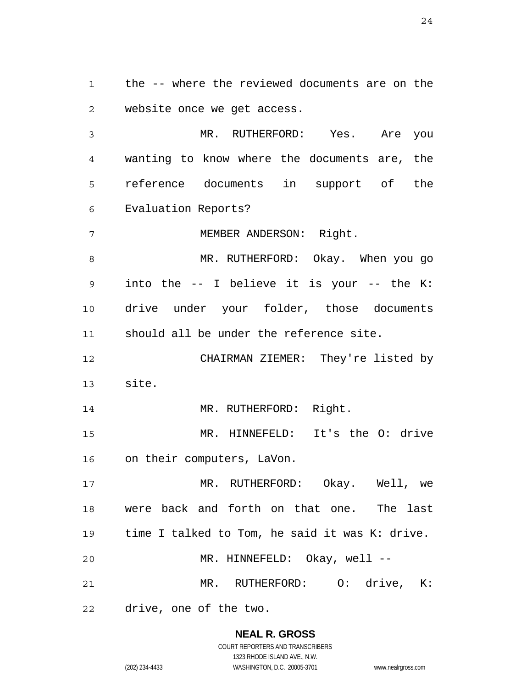1 2 the -- where the reviewed documents are on the website once we get access.

3 4 5 6 MR. RUTHERFORD: Yes. Are you wanting to know where the documents are, the reference documents in support of the Evaluation Reports?

7 MEMBER ANDERSON: Right.

8 9 10 11 MR. RUTHERFORD: Okay. When you go into the -- I believe it is your -- the K: drive under your folder, those documents should all be under the reference site.

12 13 CHAIRMAN ZIEMER: They're listed by site.

14 MR. RUTHERFORD: Right.

15 16 MR. HINNEFELD: It's the O: drive on their computers, LaVon.

17 18 19 20 21 MR. RUTHERFORD: Okay. Well, we were back and forth on that one. The last time I talked to Tom, he said it was K: drive. MR. HINNEFELD: Okay, well --MR. RUTHERFORD: 0: drive, K:

22 drive, one of the two.

> **NEAL R. GROSS** COURT REPORTERS AND TRANSCRIBERS 1323 RHODE ISLAND AVE., N.W.

(202) 234-4433 WASHINGTON, D.C. 20005-3701 www.nealrgross.com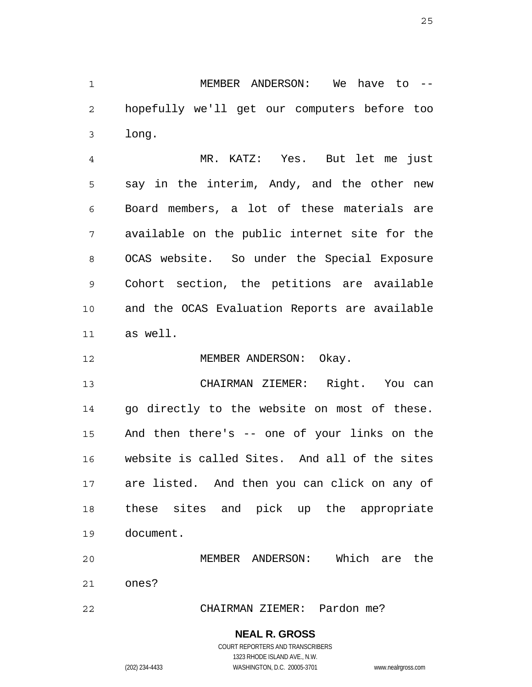1 2 3 MEMBER ANDERSON: We have to - hopefully we'll get our computers before too long.

4 5 6 7 8 9 10 11 MR. KATZ: Yes. But let me just say in the interim, Andy, and the other new Board members, a lot of these materials are available on the public internet site for the OCAS website. So under the Special Exposure Cohort section, the petitions are available and the OCAS Evaluation Reports are available as well.

12 MEMBER ANDERSON: Okay.

13 14 15 16 17 18 19 CHAIRMAN ZIEMER: Right. You can go directly to the website on most of these. And then there's -- one of your links on the website is called Sites. And all of the sites are listed. And then you can click on any of these sites and pick up the appropriate document.

20 21 MEMBER ANDERSON: Which are the ones?

22 CHAIRMAN ZIEMER: Pardon me?

#### **NEAL R. GROSS**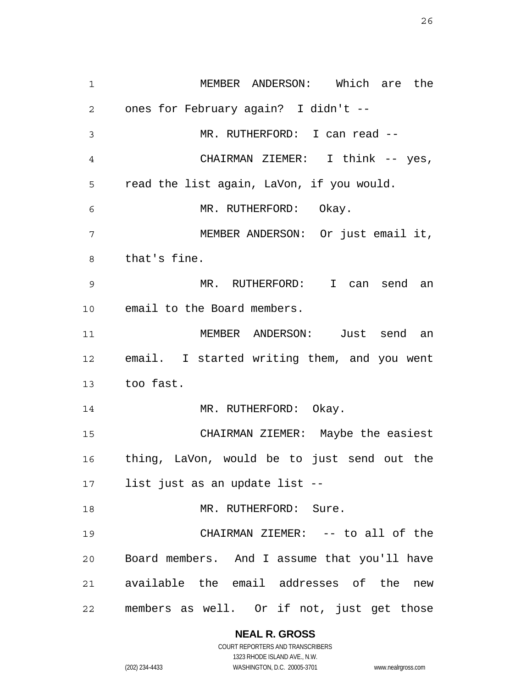1 2 3 4 5 6 7 8 9 10 11 12 13 14 15 16 17 18 19 20 21 22 MEMBER ANDERSON: Which are the ones for February again? I didn't -- MR. RUTHERFORD: I can read --CHAIRMAN ZIEMER: I think -- yes, read the list again, LaVon, if you would. MR. RUTHERFORD: Okay. MEMBER ANDERSON: Or just email it, that's fine. MR. RUTHERFORD: I can send an email to the Board members. MEMBER ANDERSON: Just send an email. I started writing them, and you went too fast. MR. RUTHERFORD: Okay. CHAIRMAN ZIEMER: Maybe the easiest thing, LaVon, would be to just send out the list just as an update list -- MR. RUTHERFORD: Sure. CHAIRMAN ZIEMER: -- to all of the Board members. And I assume that you'll have available the email addresses of the new members as well. Or if not, just get those

**NEAL R. GROSS**

COURT REPORTERS AND TRANSCRIBERS 1323 RHODE ISLAND AVE., N.W. (202) 234-4433 WASHINGTON, D.C. 20005-3701 www.nealrgross.com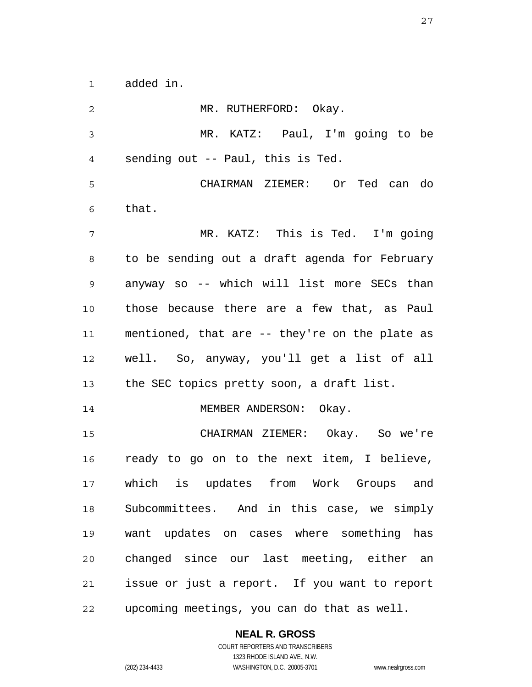1 added in.

2 3 4 5 6 7 8 9 10 11 12 13 14 15 16 17 18 19 20 21 22 MR. RUTHERFORD: Okay. MR. KATZ: Paul, I'm going to be sending out -- Paul, this is Ted. CHAIRMAN ZIEMER: Or Ted can do that. MR. KATZ: This is Ted. I'm going to be sending out a draft agenda for February anyway so -- which will list more SECs than those because there are a few that, as Paul mentioned, that are -- they're on the plate as well. So, anyway, you'll get a list of all the SEC topics pretty soon, a draft list. MEMBER ANDERSON: Okay. CHAIRMAN ZIEMER: Okay. So we're ready to go on to the next item, I believe, which is updates from Work Groups and Subcommittees. And in this case, we simply want updates on cases where something has changed since our last meeting, either an issue or just a report. If you want to report upcoming meetings, you can do that as well.

**NEAL R. GROSS**

COURT REPORTERS AND TRANSCRIBERS 1323 RHODE ISLAND AVE., N.W. (202) 234-4433 WASHINGTON, D.C. 20005-3701 www.nealrgross.com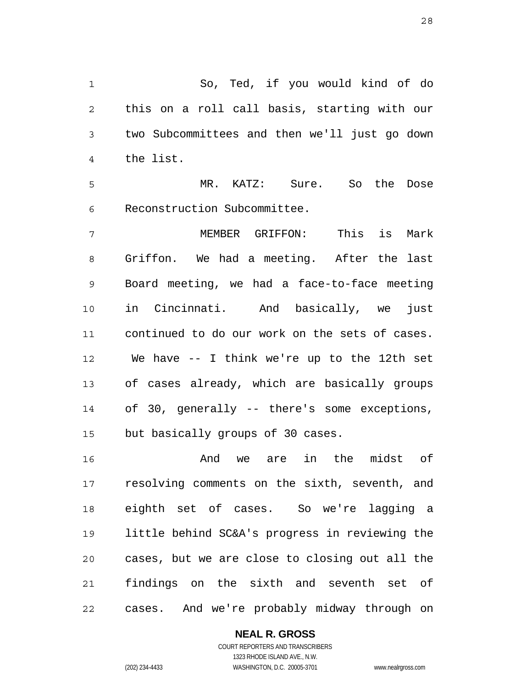1 2 3 4 So, Ted, if you would kind of do this on a roll call basis, starting with our two Subcommittees and then we'll just go down the list.

5 6 MR. KATZ: Sure. So the Dose Reconstruction Subcommittee.

7 8 9 10 11 12 13 14 15 MEMBER GRIFFON: This is Mark Griffon. We had a meeting. After the last Board meeting, we had a face-to-face meeting in Cincinnati. And basically, we just continued to do our work on the sets of cases. We have -- I think we're up to the 12th set of cases already, which are basically groups of 30, generally -- there's some exceptions, but basically groups of 30 cases.

16 17 18 19 20 21 22 And we are in the midst of resolving comments on the sixth, seventh, and eighth set of cases. So we're lagging a little behind SC&A's progress in reviewing the cases, but we are close to closing out all the findings on the sixth and seventh set of cases. And we're probably midway through on

### **NEAL R. GROSS**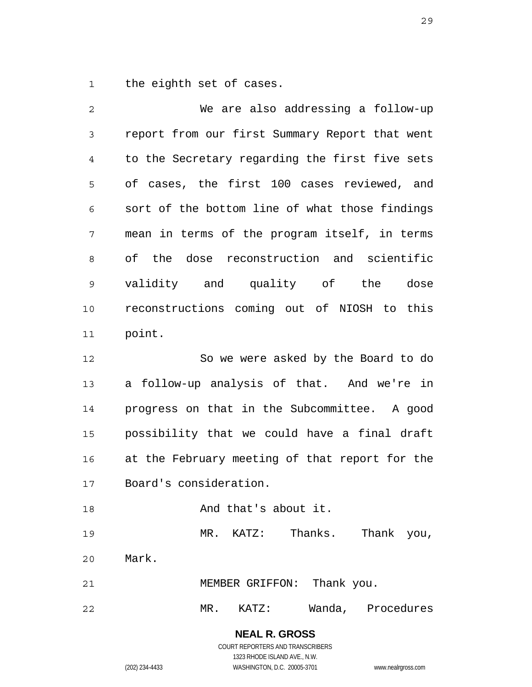1 the eighth set of cases.

2 3 4 5 6 7 8 9 10 11 12 13 14 We are also addressing a follow-up report from our first Summary Report that went to the Secretary regarding the first five sets of cases, the first 100 cases reviewed, and sort of the bottom line of what those findings mean in terms of the program itself, in terms of the dose reconstruction and scientific validity and quality of the dose reconstructions coming out of NIOSH to this point. So we were asked by the Board to do a follow-up analysis of that. And we're in progress on that in the Subcommittee. A good

16 17 at the February meeting of that report for the Board's consideration.

possibility that we could have a final draft

18 19 20 And that's about it. MR. KATZ: Thanks. Thank you, Mark.

21 MEMBER GRIFFON: Thank you.

22 MR. KATZ: Wanda, Procedures

> **NEAL R. GROSS** COURT REPORTERS AND TRANSCRIBERS 1323 RHODE ISLAND AVE., N.W.

15

(202) 234-4433 WASHINGTON, D.C. 20005-3701 www.nealrgross.com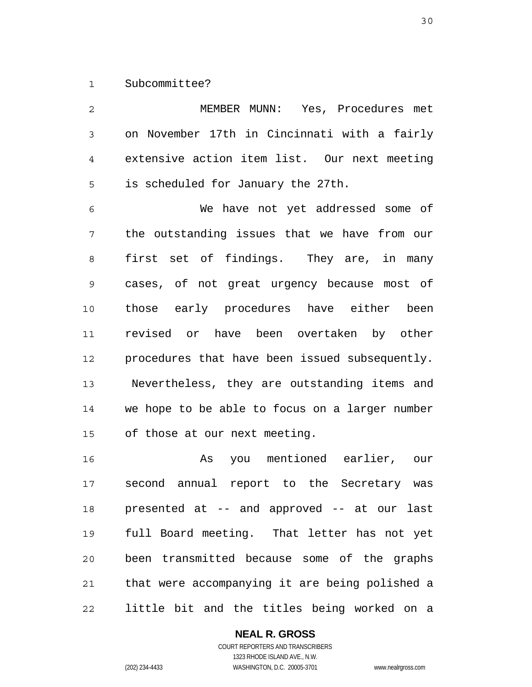1 Subcommittee?

2 3 4 5 6 7 8 9 10 11 12 13 14 15 16 17 18 19 20 21 MEMBER MUNN: Yes, Procedures met on November 17th in Cincinnati with a fairly extensive action item list. Our next meeting is scheduled for January the 27th. We have not yet addressed some of the outstanding issues that we have from our first set of findings. They are, in many cases, of not great urgency because most of those early procedures have either been revised or have been overtaken by other procedures that have been issued subsequently. Nevertheless, they are outstanding items and we hope to be able to focus on a larger number of those at our next meeting. As you mentioned earlier, our second annual report to the Secretary was presented at -- and approved -- at our last full Board meeting. That letter has not yet been transmitted because some of the graphs that were accompanying it are being polished a

22 little bit and the titles being worked on a

#### **NEAL R. GROSS**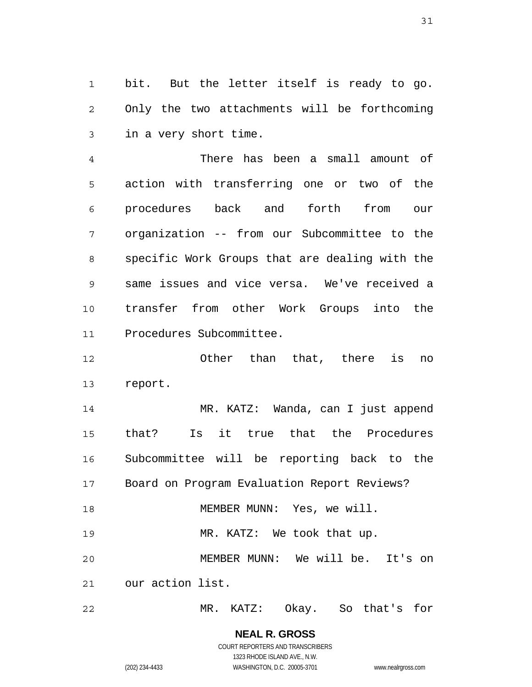1 2 3 bit. But the letter itself is ready to go. Only the two attachments will be forthcoming in a very short time.

4 5 6 7 8 9 10 11 There has been a small amount of action with transferring one or two of the procedures back and forth from our organization -- from our Subcommittee to the specific Work Groups that are dealing with the same issues and vice versa. We've received a transfer from other Work Groups into the Procedures Subcommittee.

12 13 Other than that, there is no report.

14 15 16 17 18 19 20 MR. KATZ: Wanda, can I just append that? Is it true that the Procedures Subcommittee will be reporting back to the Board on Program Evaluation Report Reviews? MEMBER MUNN: Yes, we will. MR. KATZ: We took that up. MEMBER MUNN: We will be. It's on our action list.

22 MR. KATZ: Okay. So that's for

> **NEAL R. GROSS** COURT REPORTERS AND TRANSCRIBERS 1323 RHODE ISLAND AVE., N.W. (202) 234-4433 WASHINGTON, D.C. 20005-3701 www.nealrgross.com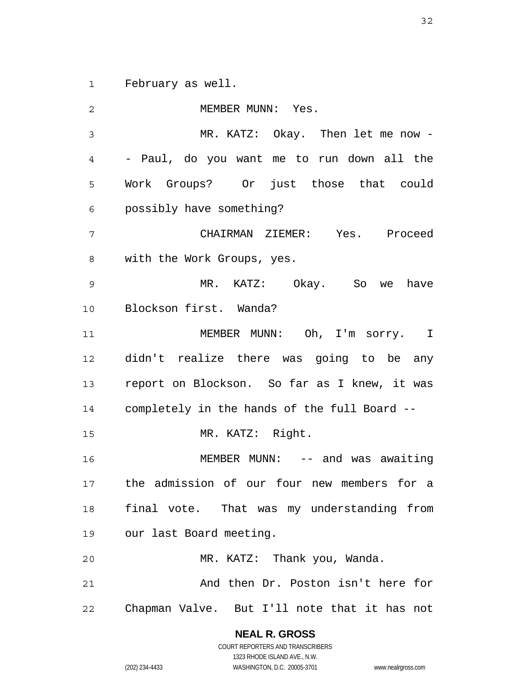1 February as well.

2 3 4 5 6 7 8 9 10 11 12 13 14 15 16 17 18 19 20 21 22 MEMBER MUNN: Yes. MR. KATZ: Okay. Then let me now - - Paul, do you want me to run down all the Work Groups? Or just those that could possibly have something? CHAIRMAN ZIEMER: Yes. Proceed with the Work Groups, yes. MR. KATZ: Okay. So we have Blockson first. Wanda? MEMBER MUNN: Oh, I'm sorry. I didn't realize there was going to be any report on Blockson. So far as I knew, it was completely in the hands of the full Board -- MR. KATZ: Right. MEMBER MUNN: -- and was awaiting the admission of our four new members for a final vote. That was my understanding from our last Board meeting. MR. KATZ: Thank you, Wanda. And then Dr. Poston isn't here for Chapman Valve. But I'll note that it has not

> **NEAL R. GROSS** COURT REPORTERS AND TRANSCRIBERS

1323 RHODE ISLAND AVE., N.W. (202) 234-4433 WASHINGTON, D.C. 20005-3701 www.nealrgross.com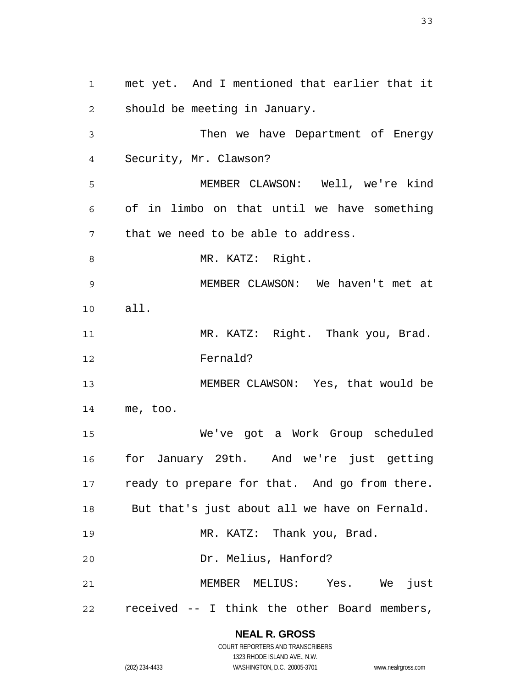1 2 3 4 5 6 7 8 9 10 11 12 13 14 15 16 17 18 19 20 21 22 met yet. And I mentioned that earlier that it should be meeting in January. Then we have Department of Energy Security, Mr. Clawson? MEMBER CLAWSON: Well, we're kind of in limbo on that until we have something that we need to be able to address. MR. KATZ: Right. MEMBER CLAWSON: We haven't met at all. MR. KATZ: Right. Thank you, Brad. Fernald? MEMBER CLAWSON: Yes, that would be me, too. We've got a Work Group scheduled for January 29th. And we're just getting ready to prepare for that. And go from there. But that's just about all we have on Fernald. MR. KATZ: Thank you, Brad. Dr. Melius, Hanford? MEMBER MELIUS: Yes. We just received -- I think the other Board members,

> **NEAL R. GROSS** COURT REPORTERS AND TRANSCRIBERS

1323 RHODE ISLAND AVE., N.W. (202) 234-4433 WASHINGTON, D.C. 20005-3701 www.nealrgross.com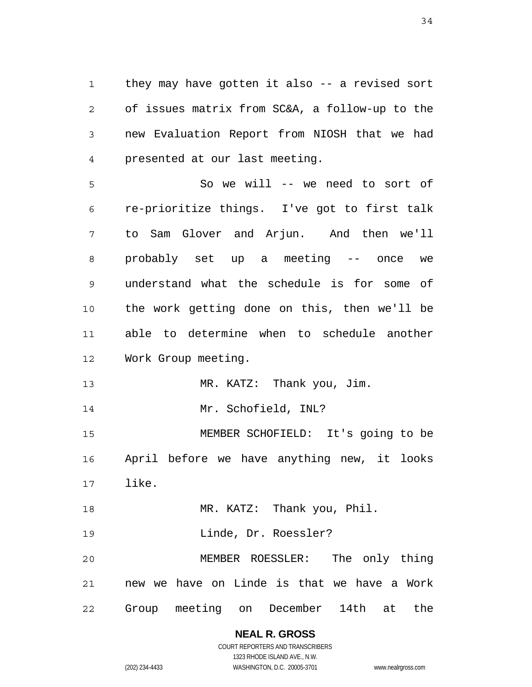1 2 3 4 they may have gotten it also -- a revised sort of issues matrix from SC&A, a follow-up to the new Evaluation Report from NIOSH that we had presented at our last meeting.

5 6 7 8 9 10 11 12 So we will -- we need to sort of re-prioritize things. I've got to first talk to Sam Glover and Arjun. And then we'll probably set up a meeting -- once we understand what the schedule is for some of the work getting done on this, then we'll be able to determine when to schedule another Work Group meeting.

13 MR. KATZ: Thank you, Jim.

14 Mr. Schofield, INL?

15 16 17 MEMBER SCHOFIELD: It's going to be April before we have anything new, it looks like.

18 MR. KATZ: Thank you, Phil.

19 Linde, Dr. Roessler?

20 21 22 MEMBER ROESSLER: The only thing new we have on Linde is that we have a Work Group meeting on December 14th at the

> **NEAL R. GROSS** COURT REPORTERS AND TRANSCRIBERS

1323 RHODE ISLAND AVE., N.W. (202) 234-4433 WASHINGTON, D.C. 20005-3701 www.nealrgross.com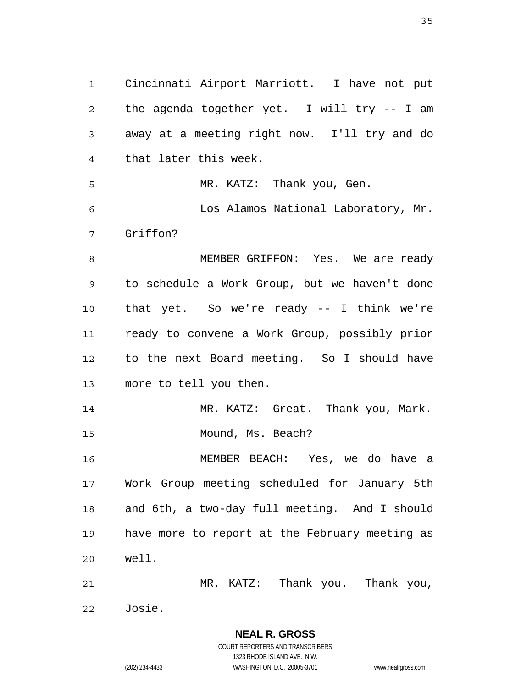1 2 3 4 5 6 7 8 9 10 11 12 13 14 15 16 17 18 19 20 21 Cincinnati Airport Marriott. I have not put the agenda together yet. I will try -- I am away at a meeting right now. I'll try and do that later this week. MR. KATZ: Thank you, Gen. Los Alamos National Laboratory, Mr. Griffon? MEMBER GRIFFON: Yes. We are ready to schedule a Work Group, but we haven't done that yet. So we're ready -- I think we're ready to convene a Work Group, possibly prior to the next Board meeting. So I should have more to tell you then. MR. KATZ: Great. Thank you, Mark. Mound, Ms. Beach? MEMBER BEACH: Yes, we do have a Work Group meeting scheduled for January 5th and 6th, a two-day full meeting. And I should have more to report at the February meeting as well. MR. KATZ: Thank you. Thank you,

22 Josie.

> **NEAL R. GROSS** COURT REPORTERS AND TRANSCRIBERS 1323 RHODE ISLAND AVE., N.W. (202) 234-4433 WASHINGTON, D.C. 20005-3701 www.nealrgross.com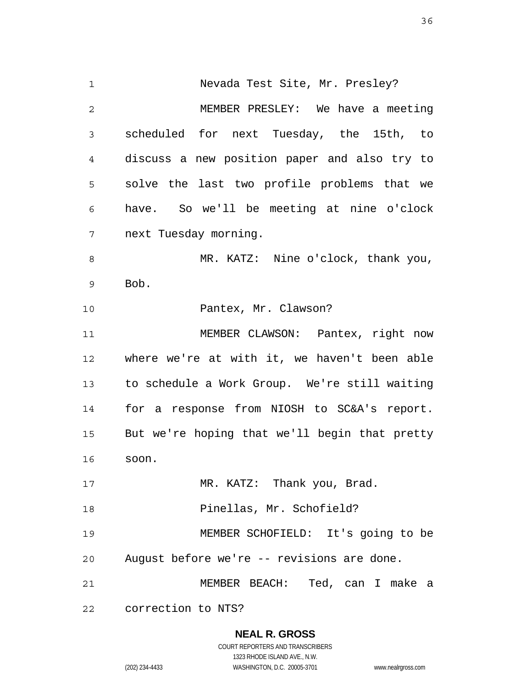1 2 3 4 5 6 7 8 9 10 11 12 13 14 15 16 17 18 19 20 21 22 Nevada Test Site, Mr. Presley? MEMBER PRESLEY: We have a meeting scheduled for next Tuesday, the 15th, to discuss a new position paper and also try to solve the last two profile problems that we have. So we'll be meeting at nine o'clock next Tuesday morning. MR. KATZ: Nine o'clock, thank you, Bob. Pantex, Mr. Clawson? MEMBER CLAWSON: Pantex, right now where we're at with it, we haven't been able to schedule a Work Group. We're still waiting for a response from NIOSH to SC&A's report. But we're hoping that we'll begin that pretty soon. MR. KATZ: Thank you, Brad. Pinellas, Mr. Schofield? MEMBER SCHOFIELD: It's going to be August before we're -- revisions are done. MEMBER BEACH: Ted, can I make a correction to NTS?

> **NEAL R. GROSS** COURT REPORTERS AND TRANSCRIBERS 1323 RHODE ISLAND AVE., N.W. (202) 234-4433 WASHINGTON, D.C. 20005-3701 www.nealrgross.com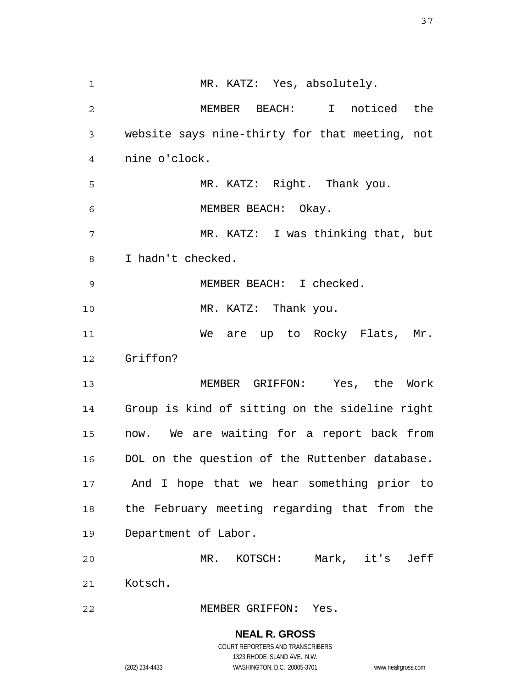**NEAL R. GROSS** 1 2 3 4 5 6 7 8 9 10 11 12 13 14 15 16 17 18 19 20 21 22 MR. KATZ: Yes, absolutely. MEMBER BEACH: I noticed the website says nine-thirty for that meeting, not nine o'clock. MR. KATZ: Right. Thank you. MEMBER BEACH: Okay. MR. KATZ: I was thinking that, but I hadn't checked. MEMBER BEACH: I checked. MR. KATZ: Thank you. We are up to Rocky Flats, Mr. Griffon? MEMBER GRIFFON: Yes, the Work Group is kind of sitting on the sideline right now. We are waiting for a report back from DOL on the question of the Ruttenber database. And I hope that we hear something prior to the February meeting regarding that from the Department of Labor. MR. KOTSCH: Mark, it's Jeff Kotsch. MEMBER GRIFFON: Yes.

> COURT REPORTERS AND TRANSCRIBERS 1323 RHODE ISLAND AVE., N.W.

(202) 234-4433 WASHINGTON, D.C. 20005-3701 www.nealrgross.com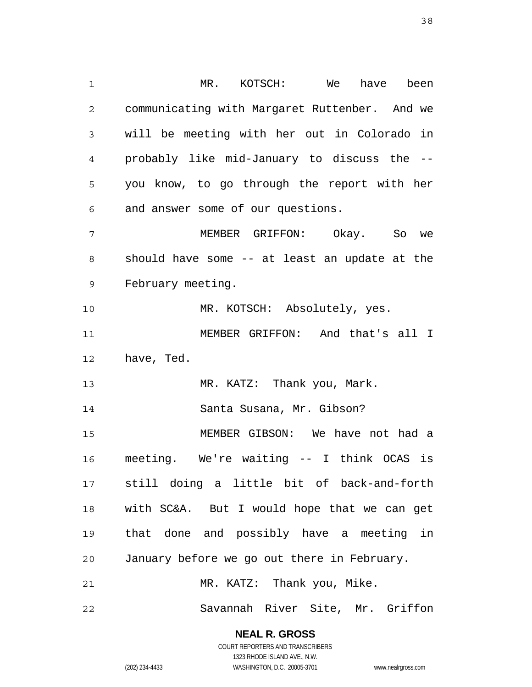1 2 3 4 5 6 7 8 9 10 11 12 13 14 15 16 17 18 19 20 21 MR. KOTSCH: We have been communicating with Margaret Ruttenber. And we will be meeting with her out in Colorado in probably like mid-January to discuss the - you know, to go through the report with her and answer some of our questions. MEMBER GRIFFON: Okay. So we should have some -- at least an update at the February meeting. MR. KOTSCH: Absolutely, yes. MEMBER GRIFFON: And that's all I have, Ted. MR. KATZ: Thank you, Mark. Santa Susana, Mr. Gibson? MEMBER GIBSON: We have not had a meeting. We're waiting -- I think OCAS is still doing a little bit of back-and-forth with SC&A. But I would hope that we can get that done and possibly have a meeting in January before we go out there in February. MR. KATZ: Thank you, Mike. Savannah River Site, Mr. Griffon

> **NEAL R. GROSS** COURT REPORTERS AND TRANSCRIBERS

> > 1323 RHODE ISLAND AVE., N.W.

22

(202) 234-4433 WASHINGTON, D.C. 20005-3701 www.nealrgross.com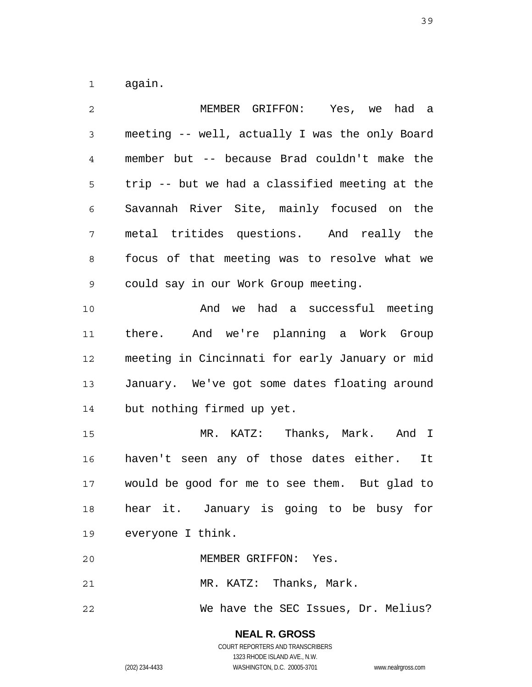1 again.

| $\overline{2}$ | MEMBER GRIFFON: Yes, we had a                  |
|----------------|------------------------------------------------|
| 3              | meeting -- well, actually I was the only Board |
| 4              | member but -- because Brad couldn't make the   |
| 5              | trip -- but we had a classified meeting at the |
| 6              | Savannah River Site, mainly focused on the     |
| 7              | metal tritides questions. And really the       |
| 8              | focus of that meeting was to resolve what we   |
| 9              | could say in our Work Group meeting.           |
| 10             | And we had a successful meeting                |
| 11             | there. And we're planning a Work Group         |
| 12             | meeting in Cincinnati for early January or mid |
| 13             | January. We've got some dates floating around  |
| 14             | but nothing firmed up yet.                     |
| 15             | MR. KATZ: Thanks, Mark. And I                  |
| 16             | haven't seen any of those dates either. It     |
| 17             | would be good for me to see them. But glad to  |
| 18             | hear it. January is going to be busy for       |
|                | 19 everyone I think.                           |
| 20             | MEMBER GRIFFON: Yes.                           |
| 21             | MR. KATZ: Thanks, Mark.                        |
| 22             | We have the SEC Issues, Dr. Melius?            |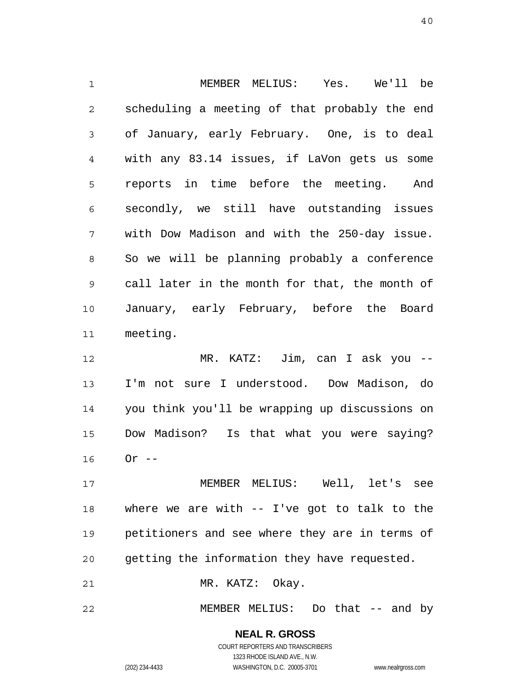1 2 3 4 5 6 7 8 9 10 11 MEMBER MELIUS: Yes. We'll be scheduling a meeting of that probably the end of January, early February. One, is to deal with any 83.14 issues, if LaVon gets us some reports in time before the meeting. And secondly, we still have outstanding issues with Dow Madison and with the 250-day issue. So we will be planning probably a conference call later in the month for that, the month of January, early February, before the Board meeting.

12 13 14 15 16 MR. KATZ: Jim, can I ask you -- I'm not sure I understood. Dow Madison, do you think you'll be wrapping up discussions on Dow Madison? Is that what you were saying?  $0r$  --

17 18 19 20 MEMBER MELIUS: Well, let's see where we are with -- I've got to talk to the petitioners and see where they are in terms of getting the information they have requested.

21 MR. KATZ: Okay.

22 MEMBER MELIUS: Do that -- and by

#### **NEAL R. GROSS** COURT REPORTERS AND TRANSCRIBERS 1323 RHODE ISLAND AVE., N.W.

(202) 234-4433 WASHINGTON, D.C. 20005-3701 www.nealrgross.com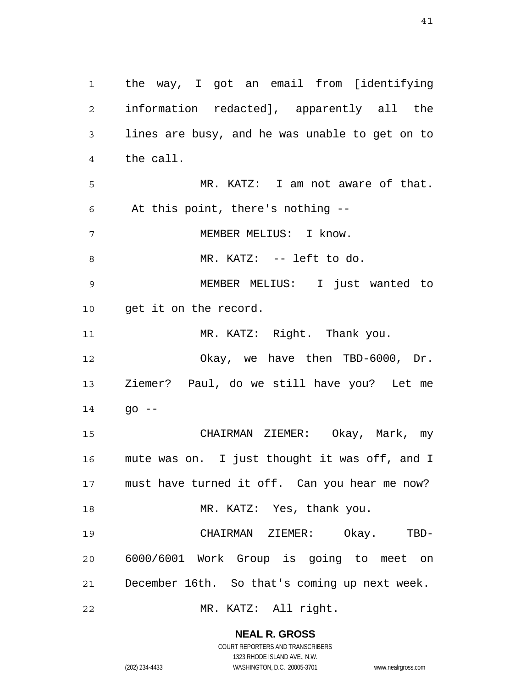1 2 3 4 5 6 7 8 9 10 11 12 13 14 15 16 17 18 19 20 21 22 the way, I got an email from [identifying information redacted], apparently all the lines are busy, and he was unable to get on to the call. MR. KATZ: I am not aware of that. At this point, there's nothing -- MEMBER MELIUS: I know. MR. KATZ: -- left to do. MEMBER MELIUS: I just wanted to get it on the record. MR. KATZ: Right. Thank you. Okay, we have then TBD-6000, Dr. Ziemer? Paul, do we still have you? Let me  $90 - -$  CHAIRMAN ZIEMER: Okay, Mark, my mute was on. I just thought it was off, and I must have turned it off. Can you hear me now? MR. KATZ: Yes, thank you. CHAIRMAN ZIEMER: Okay. TBD-6000/6001 Work Group is going to meet on December 16th. So that's coming up next week. MR. KATZ: All right.

> **NEAL R. GROSS** COURT REPORTERS AND TRANSCRIBERS

1323 RHODE ISLAND AVE., N.W. (202) 234-4433 WASHINGTON, D.C. 20005-3701 www.nealrgross.com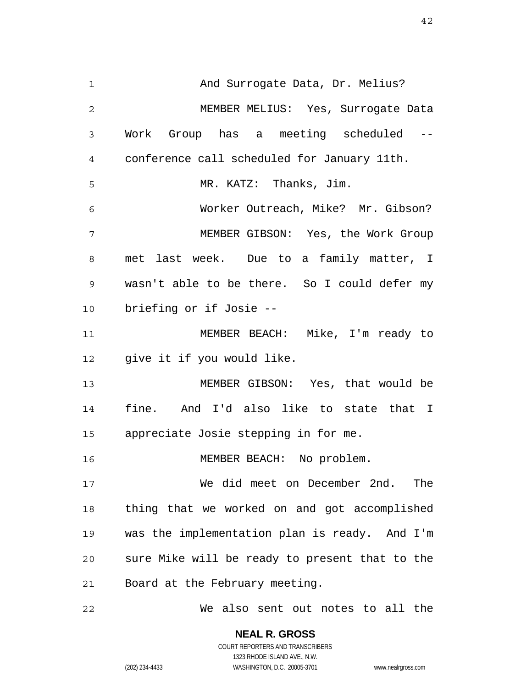1 2 3 4 5 6 7 8 9 10 11 12 13 14 15 16 17 18 19 20 21 22 And Surrogate Data, Dr. Melius? MEMBER MELIUS: Yes, Surrogate Data Work Group has a meeting scheduled - conference call scheduled for January 11th. MR. KATZ: Thanks, Jim. Worker Outreach, Mike? Mr. Gibson? MEMBER GIBSON: Yes, the Work Group met last week. Due to a family matter, I wasn't able to be there. So I could defer my briefing or if Josie -- MEMBER BEACH: Mike, I'm ready to give it if you would like. MEMBER GIBSON: Yes, that would be fine. And I'd also like to state that I appreciate Josie stepping in for me. MEMBER BEACH: No problem. We did meet on December 2nd. The thing that we worked on and got accomplished was the implementation plan is ready. And I'm sure Mike will be ready to present that to the Board at the February meeting. We also sent out notes to all the

> **NEAL R. GROSS** COURT REPORTERS AND TRANSCRIBERS

> > 1323 RHODE ISLAND AVE., N.W.

(202) 234-4433 WASHINGTON, D.C. 20005-3701 www.nealrgross.com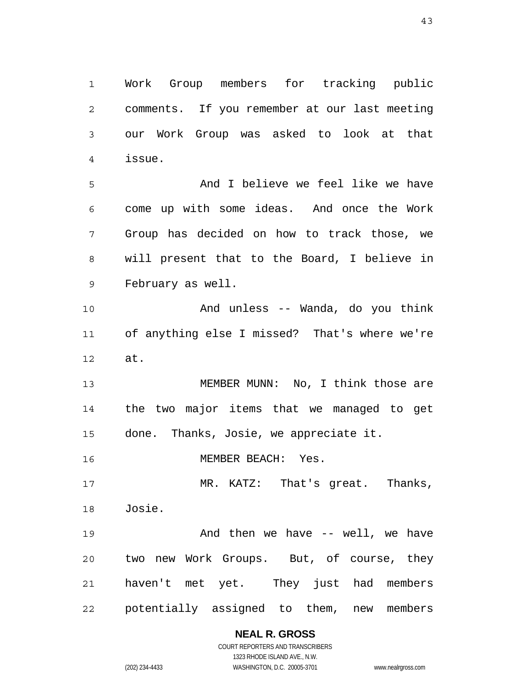1 2 3 4 Work Group members for tracking public comments. If you remember at our last meeting our Work Group was asked to look at that issue.

5 6 7 8 9 And I believe we feel like we have come up with some ideas. And once the Work Group has decided on how to track those, we will present that to the Board, I believe in February as well.

10 11 12 And unless -- Wanda, do you think of anything else I missed? That's where we're at.

13 14 15 MEMBER MUNN: No, I think those are the two major items that we managed to get done. Thanks, Josie, we appreciate it.

16 MEMBER BEACH: Yes.

17 18 MR. KATZ: That's great. Thanks, Josie.

19 20 21 22 And then we have -- well, we have two new Work Groups. But, of course, they haven't met yet. They just had members potentially assigned to them, new members

> **NEAL R. GROSS** COURT REPORTERS AND TRANSCRIBERS

1323 RHODE ISLAND AVE., N.W. (202) 234-4433 WASHINGTON, D.C. 20005-3701 www.nealrgross.com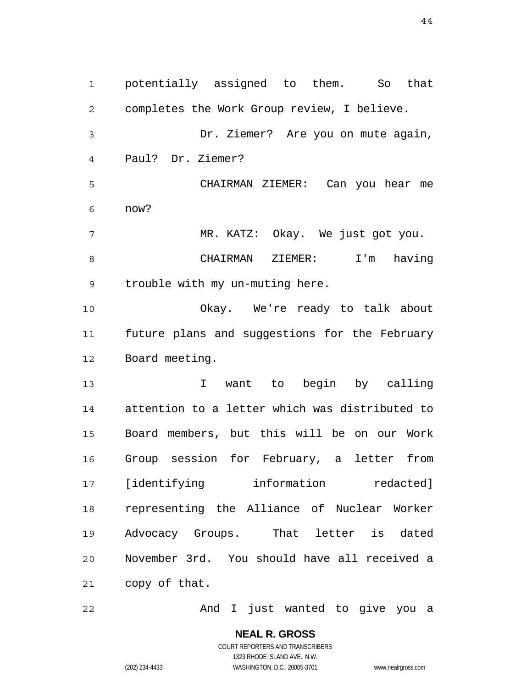1 2 3 4 5 6 7 8 9 10 11 12 13 14 15 16 17 18 19 20 21 potentially assigned to them. So that completes the Work Group review, I believe. Dr. Ziemer? Are you on mute again, Paul? Dr. Ziemer? CHAIRMAN ZIEMER: Can you hear me now? MR. KATZ: Okay. We just got you. CHAIRMAN ZIEMER: I'm having trouble with my un-muting here. Okay. We're ready to talk about future plans and suggestions for the February Board meeting. I want to begin by calling attention to a letter which was distributed to Board members, but this will be on our Work Group session for February, a letter from [identifying information redacted] representing the Alliance of Nuclear Worker Advocacy Groups. That letter is dated November 3rd. You should have all received a copy of that.

And I just wanted to give you a

**NEAL R. GROSS** COURT REPORTERS AND TRANSCRIBERS 1323 RHODE ISLAND AVE., N.W. (202) 234-4433 WASHINGTON, D.C. 20005-3701 www.nealrgross.com

22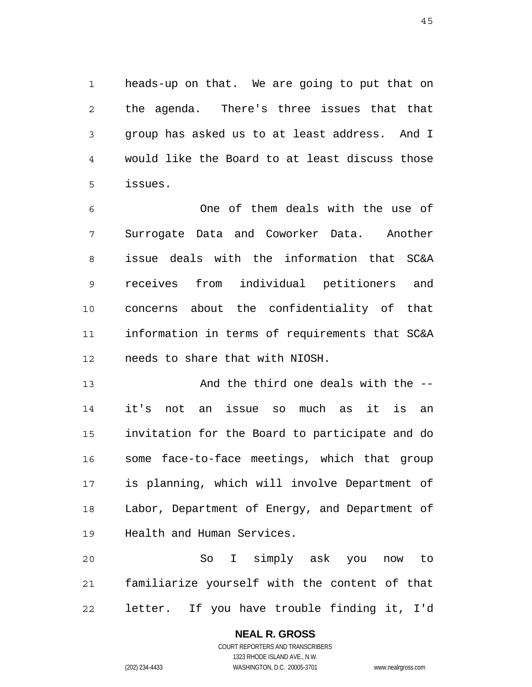1 2 3 4 5 heads-up on that. We are going to put that on the agenda. There's three issues that that group has asked us to at least address. And I would like the Board to at least discuss those issues.

6 7 8 9 10 11 12 One of them deals with the use of Surrogate Data and Coworker Data. Another issue deals with the information that SC&A receives from individual petitioners and concerns about the confidentiality of that information in terms of requirements that SC&A needs to share that with NIOSH.

13 14 15 16 17 18 19 And the third one deals with the - it's not an issue so much as it is an invitation for the Board to participate and do some face-to-face meetings, which that group is planning, which will involve Department of Labor, Department of Energy, and Department of Health and Human Services.

20 21 22 So I simply ask you now to familiarize yourself with the content of that letter. If you have trouble finding it, I'd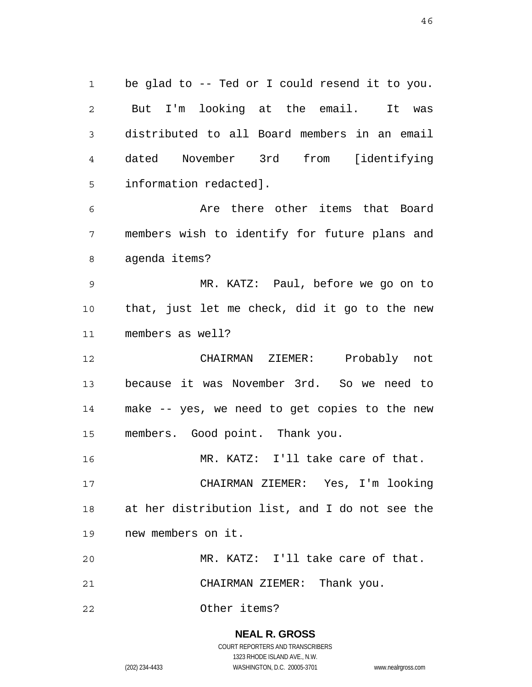1 2 3 4 5 be glad to -- Ted or I could resend it to you. But I'm looking at the email. It was distributed to all Board members in an email dated November 3rd from [identifying information redacted].

6 7 8 Are there other items that Board members wish to identify for future plans and agenda items?

9 10 11 MR. KATZ: Paul, before we go on to that, just let me check, did it go to the new members as well?

12 13 14 15 CHAIRMAN ZIEMER: Probably not because it was November 3rd. So we need to make -- yes, we need to get copies to the new members. Good point. Thank you.

16 17 18 19 MR. KATZ: I'll take care of that. CHAIRMAN ZIEMER: Yes, I'm looking at her distribution list, and I do not see the new members on it.

20 MR. KATZ: I'll take care of that.

21 CHAIRMAN ZIEMER: Thank you.

22 Other items?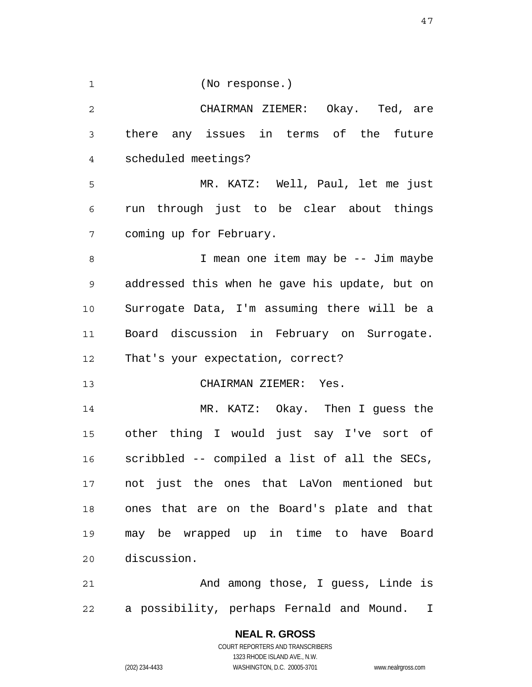1

(No response.)

2 3 4 5 6 CHAIRMAN ZIEMER: Okay. Ted, are there any issues in terms of the future scheduled meetings? MR. KATZ: Well, Paul, let me just run through just to be clear about things

7 coming up for February.

8 9 10 11 12 I mean one item may be -- Jim maybe addressed this when he gave his update, but on Surrogate Data, I'm assuming there will be a Board discussion in February on Surrogate. That's your expectation, correct?

13 CHAIRMAN ZIEMER: Yes.

14 15 16 17 18 19 20 MR. KATZ: Okay. Then I guess the other thing I would just say I've sort of scribbled -- compiled a list of all the SECs, not just the ones that LaVon mentioned but ones that are on the Board's plate and that may be wrapped up in time to have Board discussion.

21 22 And among those, I guess, Linde is a possibility, perhaps Fernald and Mound. I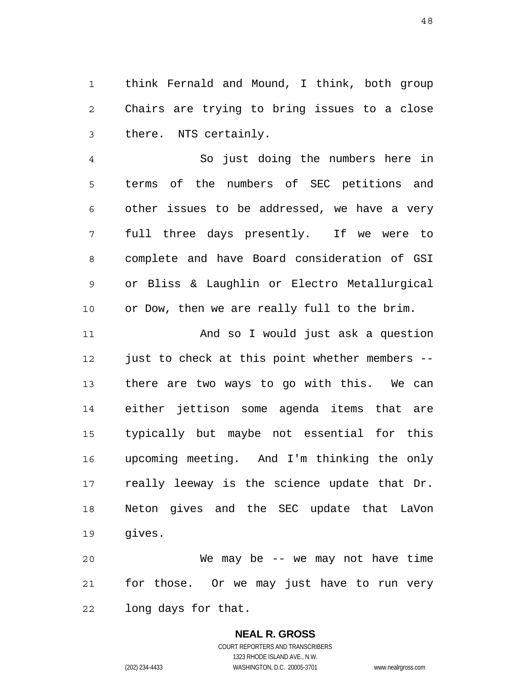1 2 3 think Fernald and Mound, I think, both group Chairs are trying to bring issues to a close there. NTS certainly.

4 5 6 7 8 9 10 So just doing the numbers here in terms of the numbers of SEC petitions and other issues to be addressed, we have a very full three days presently. If we were to complete and have Board consideration of GSI or Bliss & Laughlin or Electro Metallurgical or Dow, then we are really full to the brim.

11 12 13 14 15 16 17 18 19 And so I would just ask a question just to check at this point whether members - there are two ways to go with this. We can either jettison some agenda items that are typically but maybe not essential for this upcoming meeting. And I'm thinking the only really leeway is the science update that Dr. Neton gives and the SEC update that LaVon gives.

20 21 22 We may be  $-$  we may not have time for those. Or we may just have to run very long days for that.

> **NEAL R. GROSS** COURT REPORTERS AND TRANSCRIBERS 1323 RHODE ISLAND AVE., N.W. (202) 234-4433 WASHINGTON, D.C. 20005-3701 www.nealrgross.com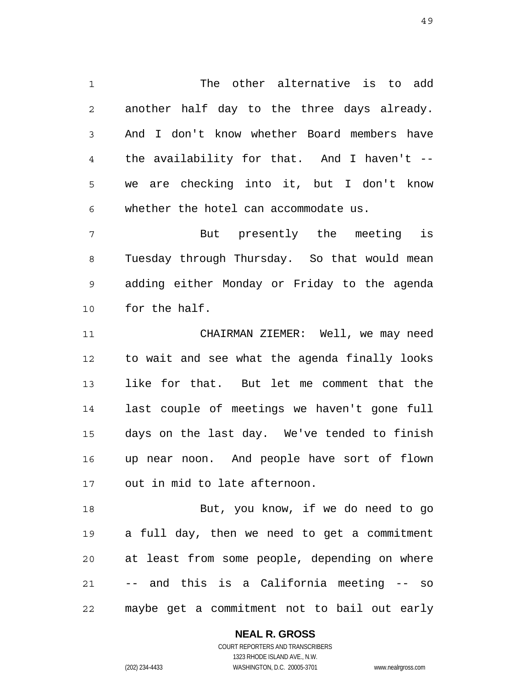1 2 3 4 5 6 The other alternative is to add another half day to the three days already. And I don't know whether Board members have the availability for that. And I haven't - we are checking into it, but I don't know whether the hotel can accommodate us.

7 8 9 10 But presently the meeting is Tuesday through Thursday. So that would mean adding either Monday or Friday to the agenda for the half.

11 12 13 14 15 16 17 CHAIRMAN ZIEMER: Well, we may need to wait and see what the agenda finally looks like for that. But let me comment that the last couple of meetings we haven't gone full days on the last day. We've tended to finish up near noon. And people have sort of flown out in mid to late afternoon.

18 19 20 21 22 But, you know, if we do need to go a full day, then we need to get a commitment at least from some people, depending on where -- and this is a California meeting -- so maybe get a commitment not to bail out early

### **NEAL R. GROSS**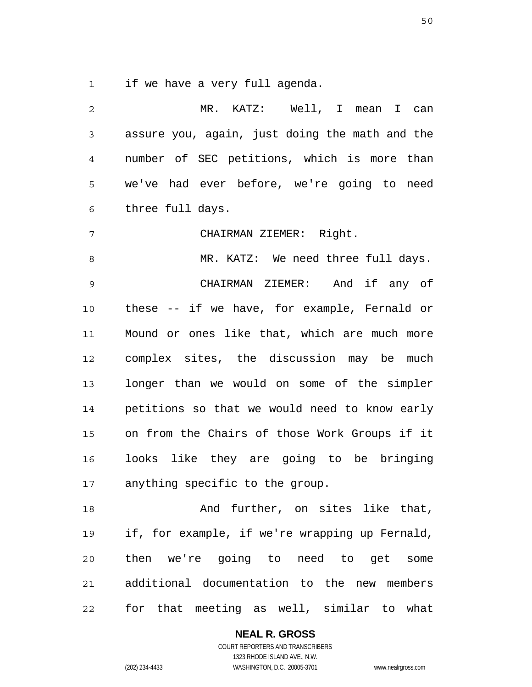1 if we have a very full agenda.

| 2              | MR. KATZ: Well, I mean I can                   |
|----------------|------------------------------------------------|
| $\mathfrak{Z}$ | assure you, again, just doing the math and the |
| 4              | number of SEC petitions, which is more than    |
| 5              | we've had ever before, we're going to need     |
| 6              | three full days.                               |
| 7              | CHAIRMAN ZIEMER: Right.                        |
| 8              | MR. KATZ: We need three full days.             |
| $\mathsf 9$    | CHAIRMAN ZIEMER: And if any of                 |
| 10             | these -- if we have, for example, Fernald or   |
| 11             | Mound or ones like that, which are much more   |
| 12             | complex sites, the discussion may be much      |
| 13             | longer than we would on some of the simpler    |
| 14             | petitions so that we would need to know early  |
| 15             | on from the Chairs of those Work Groups if it  |
| 16             | looks like they are going to be bringing       |
| 17             | anything specific to the group.                |
| 18             | And further, on sites like that,               |
| 19             | if, for example, if we're wrapping up Fernald, |
| 20             | then we're going to need to get some           |
| 21             | additional documentation to the new members    |
| 22             | for that meeting as well, similar to what      |

**NEAL R. GROSS**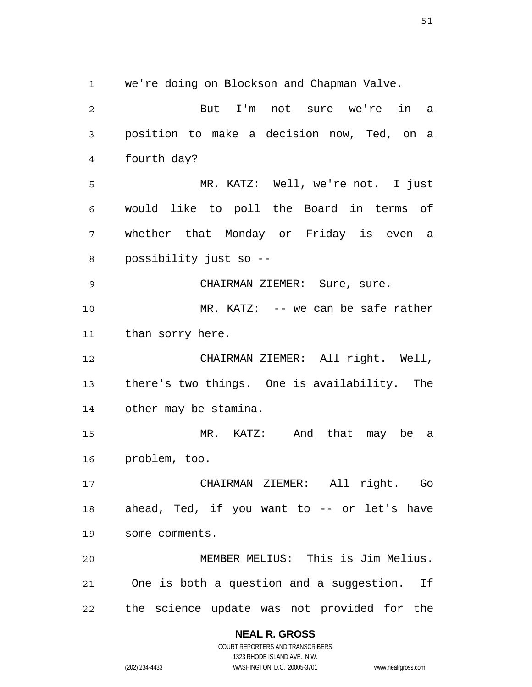1 2 3 4 5 6 7 8 9 10 11 12 13 14 15 16 17 18 19 20 21 we're doing on Blockson and Chapman Valve. But I'm not sure we're in a position to make a decision now, Ted, on a fourth day? MR. KATZ: Well, we're not. I just would like to poll the Board in terms of whether that Monday or Friday is even a possibility just so -- CHAIRMAN ZIEMER: Sure, sure. MR. KATZ: -- we can be safe rather than sorry here. CHAIRMAN ZIEMER: All right. Well, there's two things. One is availability. The other may be stamina. MR. KATZ: And that may be a problem, too. CHAIRMAN ZIEMER: All right. Go ahead, Ted, if you want to -- or let's have some comments. MEMBER MELIUS: This is Jim Melius. One is both a question and a suggestion. If

22 the science update was not provided for the

**NEAL R. GROSS**

COURT REPORTERS AND TRANSCRIBERS 1323 RHODE ISLAND AVE., N.W. (202) 234-4433 WASHINGTON, D.C. 20005-3701 www.nealrgross.com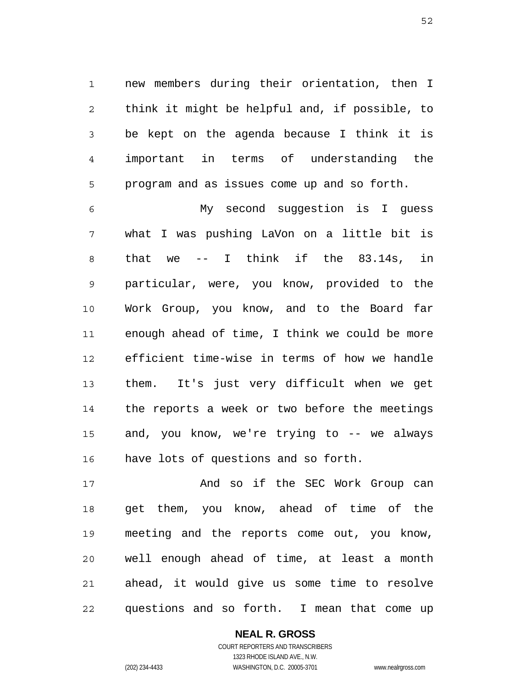1 2 3 4 5 new members during their orientation, then I think it might be helpful and, if possible, to be kept on the agenda because I think it is important in terms of understanding the program and as issues come up and so forth.

6 7 8 9 10 11 12 13 14 15 16 My second suggestion is I guess what I was pushing LaVon on a little bit is that we -- I think if the 83.14s, in particular, were, you know, provided to the Work Group, you know, and to the Board far enough ahead of time, I think we could be more efficient time-wise in terms of how we handle them. It's just very difficult when we get the reports a week or two before the meetings and, you know, we're trying to -- we always have lots of questions and so forth.

17 18 19 20 21 22 And so if the SEC Work Group can get them, you know, ahead of time of the meeting and the reports come out, you know, well enough ahead of time, at least a month ahead, it would give us some time to resolve questions and so forth. I mean that come up

> **NEAL R. GROSS** COURT REPORTERS AND TRANSCRIBERS

> > 1323 RHODE ISLAND AVE., N.W.

(202) 234-4433 WASHINGTON, D.C. 20005-3701 www.nealrgross.com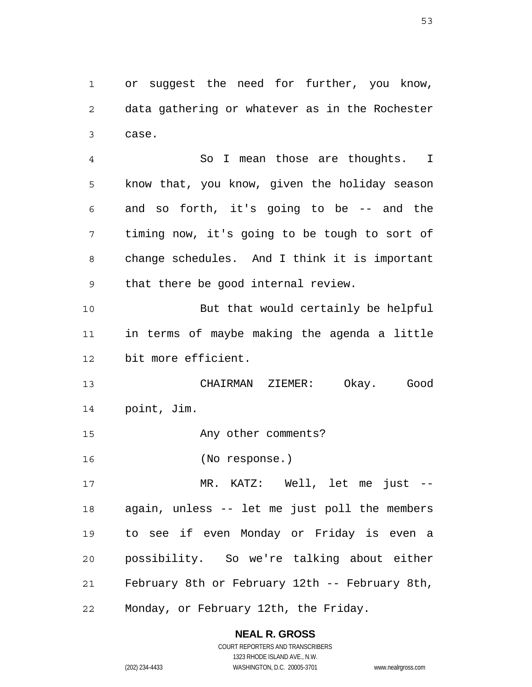1 2 3 or suggest the need for further, you know, data gathering or whatever as in the Rochester case.

4 5 6 7 8 9 So I mean those are thoughts. I know that, you know, given the holiday season and so forth, it's going to be -- and the timing now, it's going to be tough to sort of change schedules. And I think it is important that there be good internal review.

10 11 12 But that would certainly be helpful in terms of maybe making the agenda a little bit more efficient.

13 14 CHAIRMAN ZIEMER: Okay. Good point, Jim.

15 Any other comments?

16 (No response.)

17 18 19 20 21 22 MR. KATZ: Well, let me just - again, unless -- let me just poll the members to see if even Monday or Friday is even a possibility. So we're talking about either February 8th or February 12th -- February 8th, Monday, or February 12th, the Friday.

# **NEAL R. GROSS**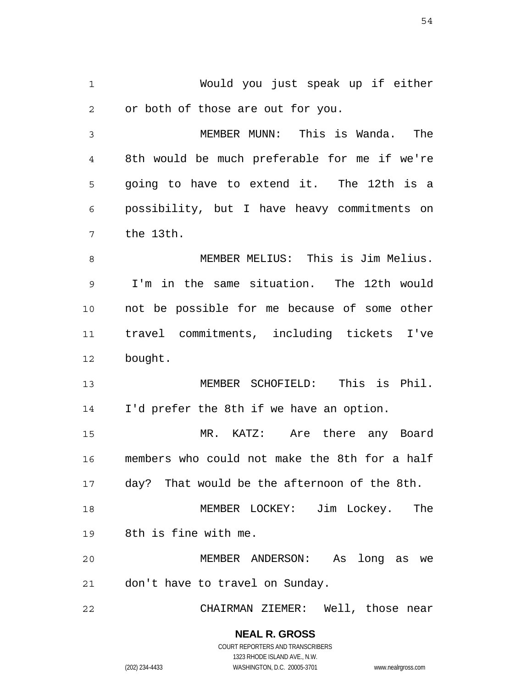1 2 Would you just speak up if either or both of those are out for you.

3 4 5 6 7 MEMBER MUNN: This is Wanda. The 8th would be much preferable for me if we're going to have to extend it. The 12th is a possibility, but I have heavy commitments on the 13th.

8 9 10 11 12 MEMBER MELIUS: This is Jim Melius. I'm in the same situation. The 12th would not be possible for me because of some other travel commitments, including tickets I've bought.

13 14 MEMBER SCHOFIELD: This is Phil. I'd prefer the 8th if we have an option.

15 16 17 MR. KATZ: Are there any Board members who could not make the 8th for a half day? That would be the afternoon of the 8th.

18 19 MEMBER LOCKEY: Jim Lockey. The 8th is fine with me.

20 21 MEMBER ANDERSON: As long as we don't have to travel on Sunday.

22 CHAIRMAN ZIEMER: Well, those near

# **NEAL R. GROSS**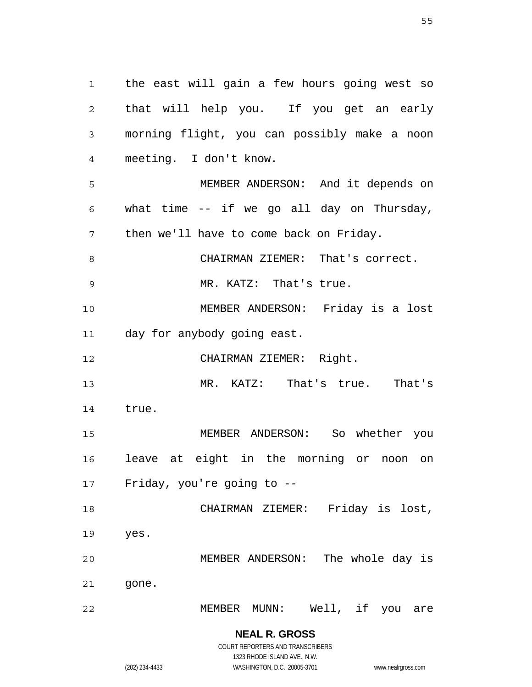1 2 3 4 5 6 7 8 9 10 11 12 13 14 15 16 17 18 19 20 21 22 the east will gain a few hours going west so that will help you. If you get an early morning flight, you can possibly make a noon meeting. I don't know. MEMBER ANDERSON: And it depends on what time -- if we go all day on Thursday, then we'll have to come back on Friday. CHAIRMAN ZIEMER: That's correct. MR. KATZ: That's true. MEMBER ANDERSON: Friday is a lost day for anybody going east. CHAIRMAN ZIEMER: Right. MR. KATZ: That's true. That's true. MEMBER ANDERSON: So whether you leave at eight in the morning or noon on Friday, you're going to -- CHAIRMAN ZIEMER: Friday is lost, yes. MEMBER ANDERSON: The whole day is gone. MEMBER MUNN: Well, if you are

> **NEAL R. GROSS** COURT REPORTERS AND TRANSCRIBERS 1323 RHODE ISLAND AVE., N.W.

(202) 234-4433 WASHINGTON, D.C. 20005-3701 www.nealrgross.com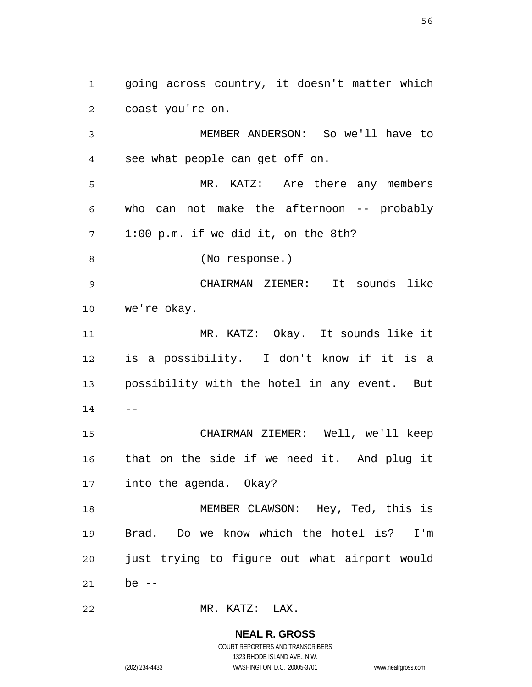2 3 4 5 6 7 8 9 10 11 12 13 coast you're on. MEMBER ANDERSON: So we'll have to see what people can get off on. MR. KATZ: Are there any members who can not make the afternoon -- probably 1:00 p.m. if we did it, on the 8th? (No response.) CHAIRMAN ZIEMER: It sounds like we're okay. MR. KATZ: Okay. It sounds like it is a possibility. I don't know if it is a possibility with the hotel in any event. But

going across country, it doesn't matter which

14

 $- -$ 

1

15 16 17 CHAIRMAN ZIEMER: Well, we'll keep that on the side if we need it. And plug it into the agenda. Okay?

18 19 20 21 MEMBER CLAWSON: Hey, Ted, this is Brad. Do we know which the hotel is? I'm just trying to figure out what airport would be  $--$ 

22 MR. KATZ: LAX.

> **NEAL R. GROSS** COURT REPORTERS AND TRANSCRIBERS

> > 1323 RHODE ISLAND AVE., N.W.

(202) 234-4433 WASHINGTON, D.C. 20005-3701 www.nealrgross.com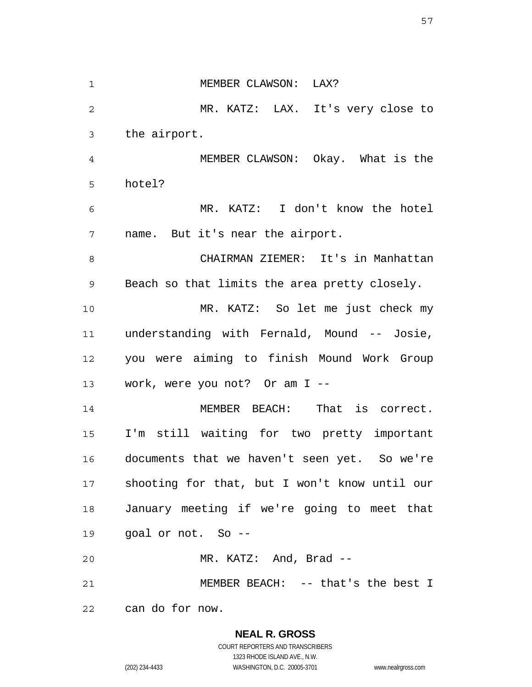1 2 3 4 5 6 7 8 9 10 11 12 13 14 15 16 17 18 19 20 21 22 MEMBER CLAWSON: LAX? MR. KATZ: LAX. It's very close to the airport. MEMBER CLAWSON: Okay. What is the hotel? MR. KATZ: I don't know the hotel name. But it's near the airport. CHAIRMAN ZIEMER: It's in Manhattan Beach so that limits the area pretty closely. MR. KATZ: So let me just check my understanding with Fernald, Mound -- Josie, you were aiming to finish Mound Work Group work, were you not? Or am I -- MEMBER BEACH: That is correct. I'm still waiting for two pretty important documents that we haven't seen yet. So we're shooting for that, but I won't know until our January meeting if we're going to meet that goal or not. So -- MR. KATZ: And, Brad -- MEMBER BEACH: -- that's the best I can do for now.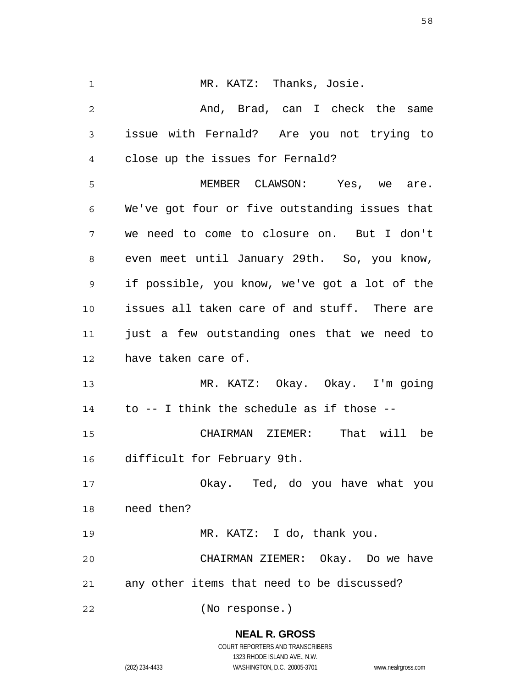| 1              | MR. KATZ: Thanks, Josie.                       |
|----------------|------------------------------------------------|
| $\overline{2}$ | And, Brad, can I check the same                |
| 3              | issue with Fernald? Are you not trying to      |
| 4              | close up the issues for Fernald?               |
| 5              | MEMBER CLAWSON: Yes, we are.                   |
| 6              | We've got four or five outstanding issues that |
| 7              | we need to come to closure on. But I don't     |
| 8              | even meet until January 29th. So, you know,    |
| 9              | if possible, you know, we've got a lot of the  |
| 10             | issues all taken care of and stuff. There are  |
| 11             | just a few outstanding ones that we need to    |
| 12             | have taken care of.                            |
| 13             | MR. KATZ: Okay. Okay. I'm going                |
| 14             | to $--$ I think the schedule as if those $--$  |
| 15             | That will<br>CHAIRMAN ZIEMER:<br>be            |
| 16             | difficult for February 9th.                    |
| 17             | Okay. Ted, do you have what you                |
| 18             | need then?                                     |
| 19             | MR. KATZ: I do, thank you.                     |
| 20             | CHAIRMAN ZIEMER: Okay. Do we have              |
| 21             | any other items that need to be discussed?     |
| 22             | (No response.)                                 |

# **NEAL R. GROSS**

COURT REPORTERS AND TRANSCRIBERS 1323 RHODE ISLAND AVE., N.W. (202) 234-4433 WASHINGTON, D.C. 20005-3701 www.nealrgross.com